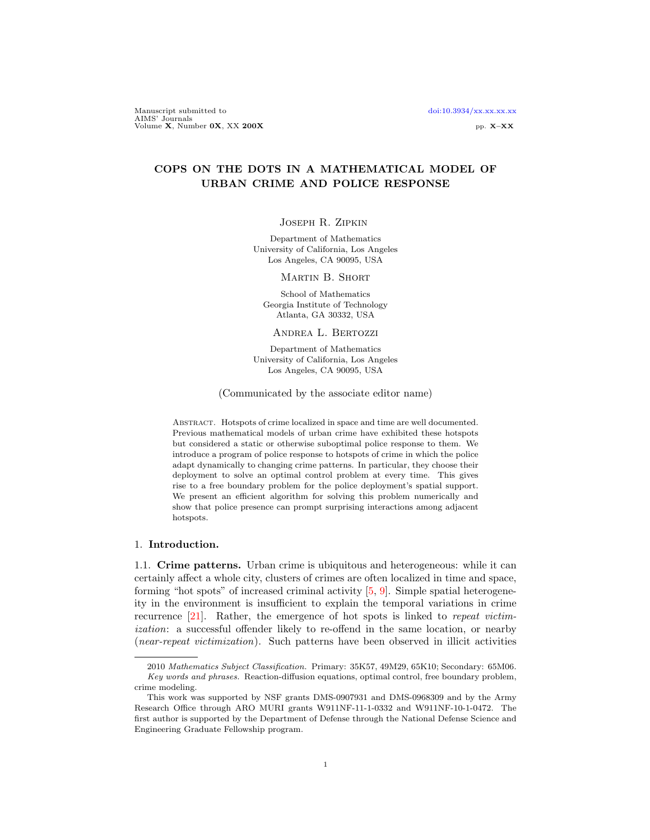Manuscript submitted to [doi:10.3934/xx.xx.xx.xx](http://dx.doi.org/10.3934/xx.xx.xx.xx).xx AIMS' Journals<br>Volume X, Number 0X, XX 200X pp. X–XX pp. X–XX

## COPS ON THE DOTS IN A MATHEMATICAL MODEL OF URBAN CRIME AND POLICE RESPONSE

### Joseph R. Zipkin

Department of Mathematics University of California, Los Angeles Los Angeles, CA 90095, USA

Martin B. Short

School of Mathematics Georgia Institute of Technology Atlanta, GA 30332, USA

Andrea L. Bertozzi

Department of Mathematics University of California, Los Angeles Los Angeles, CA 90095, USA

(Communicated by the associate editor name)

Abstract. Hotspots of crime localized in space and time are well documented. Previous mathematical models of urban crime have exhibited these hotspots but considered a static or otherwise suboptimal police response to them. We introduce a program of police response to hotspots of crime in which the police adapt dynamically to changing crime patterns. In particular, they choose their deployment to solve an optimal control problem at every time. This gives rise to a free boundary problem for the police deployment's spatial support. We present an efficient algorithm for solving this problem numerically and show that police presence can prompt surprising interactions among adjacent hotspots.

### 1. Introduction.

1.1. Crime patterns. Urban crime is ubiquitous and heterogeneous: while it can certainly affect a whole city, clusters of crimes are often localized in time and space, forming "hot spots" of increased criminal activity [\[5,](#page-26-0) [9\]](#page-27-0). Simple spatial heterogeneity in the environment is insufficient to explain the temporal variations in crime recurrence [\[21\]](#page-27-1). Rather, the emergence of hot spots is linked to repeat victimization: a successful offender likely to re-offend in the same location, or nearby (near-repeat victimization). Such patterns have been observed in illicit activities

<sup>2010</sup> Mathematics Subject Classification. Primary: 35K57, 49M29, 65K10; Secondary: 65M06. Key words and phrases. Reaction-diffusion equations, optimal control, free boundary problem, crime modeling.

This work was supported by NSF grants DMS-0907931 and DMS-0968309 and by the Army Research Office through ARO MURI grants W911NF-11-1-0332 and W911NF-10-1-0472. The first author is supported by the Department of Defense through the National Defense Science and Engineering Graduate Fellowship program.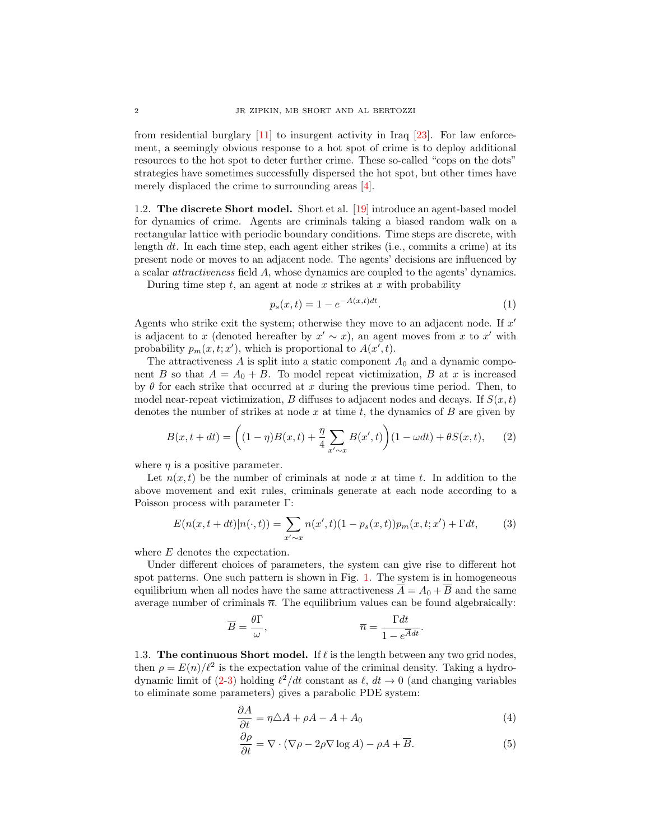from residential burglary [\[11\]](#page-27-2) to insurgent activity in Iraq [\[23\]](#page-27-3). For law enforcement, a seemingly obvious response to a hot spot of crime is to deploy additional resources to the hot spot to deter further crime. These so-called "cops on the dots" strategies have sometimes successfully dispersed the hot spot, but other times have merely displaced the crime to surrounding areas [\[4\]](#page-26-1).

<span id="page-1-4"></span>1.2. The discrete Short model. Short et al. [\[19\]](#page-27-4) introduce an agent-based model for dynamics of crime. Agents are criminals taking a biased random walk on a rectangular lattice with periodic boundary conditions. Time steps are discrete, with length dt. In each time step, each agent either strikes (i.e., commits a crime) at its present node or moves to an adjacent node. The agents' decisions are influenced by a scalar attractiveness field A, whose dynamics are coupled to the agents' dynamics.

During time step  $t$ , an agent at node  $x$  strikes at  $x$  with probability

<span id="page-1-5"></span>
$$
p_s(x,t) = 1 - e^{-A(x,t)dt}.
$$
 (1)

Agents who strike exit the system; otherwise they move to an adjacent node. If  $x'$ is adjacent to x (denoted hereafter by  $x' \sim x$ ), an agent moves from x to x' with probability  $p_m(x, t; x')$ , which is proportional to  $A(x', t)$ .

The attractiveness  $A$  is split into a static component  $A_0$  and a dynamic component B so that  $A = A_0 + B$ . To model repeat victimization, B at x is increased by  $\theta$  for each strike that occurred at x during the previous time period. Then, to model near-repeat victimization, B diffuses to adjacent nodes and decays. If  $S(x,t)$ denotes the number of strikes at node x at time t, the dynamics of  $B$  are given by

<span id="page-1-0"></span>
$$
B(x, t + dt) = \left( (1 - \eta)B(x, t) + \frac{\eta}{4} \sum_{x' \sim x} B(x', t) \right) (1 - \omega dt) + \theta S(x, t), \tag{2}
$$

where  $\eta$  is a positive parameter.

Let  $n(x, t)$  be the number of criminals at node x at time t. In addition to the above movement and exit rules, criminals generate at each node according to a Poisson process with parameter Γ:

<span id="page-1-1"></span>
$$
E(n(x, t+dt)|n(\cdot, t)) = \sum_{x' \sim x} n(x', t)(1 - p_s(x, t))p_m(x, t; x') + \Gamma dt,
$$
 (3)

where E denotes the expectation.

Under different choices of parameters, the system can give rise to different hot spot patterns. One such pattern is shown in Fig. [1.](#page-2-0) The system is in homogeneous equilibrium when all nodes have the same attractiveness  $\overline{A} = A_0 + \overline{B}$  and the same average number of criminals  $\bar{n}$ . The equilibrium values can be found algebraically:

$$
\overline{B} = \frac{\theta \Gamma}{\omega}, \qquad \qquad \overline{n} = \frac{\Gamma dt}{1 - e^{\overline{A}dt}}.
$$

1.3. The continuous Short model. If  $\ell$  is the length between any two grid nodes, then  $\rho = E(n)/\ell^2$  is the expectation value of the criminal density. Taking a hydrodynamic limit of  $(2-3)$  $(2-3)$  holding  $\ell^2/dt$  constant as  $\ell$ ,  $dt \to 0$  (and changing variables to eliminate some parameters) gives a parabolic PDE system:

$$
\frac{\partial A}{\partial t} = \eta \triangle A + \rho A - A + A_0 \tag{4}
$$

<span id="page-1-3"></span><span id="page-1-2"></span>
$$
\frac{\partial \rho}{\partial t} = \nabla \cdot (\nabla \rho - 2\rho \nabla \log A) - \rho A + \overline{B}.
$$
\n(5)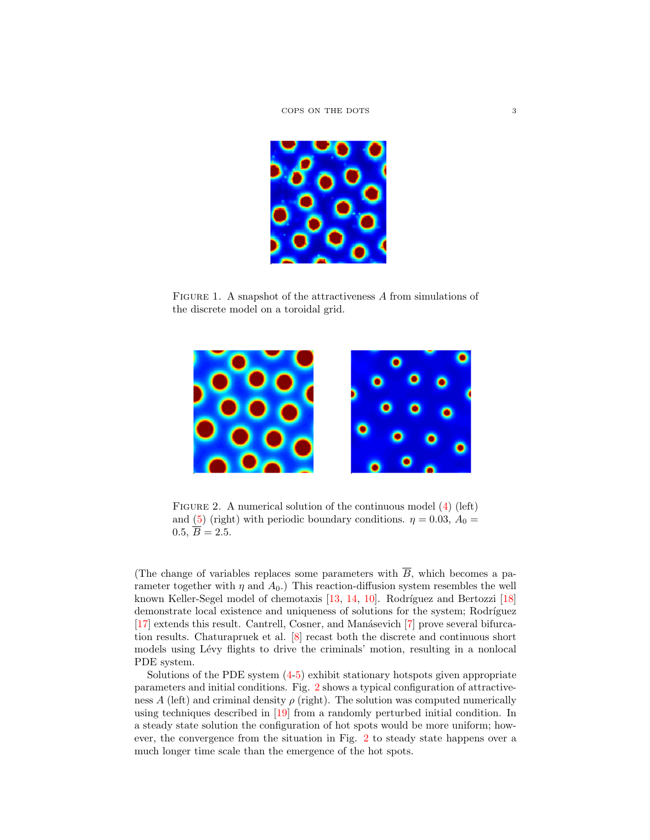

FIGURE 1. A snapshot of the attractiveness A from simulations of the discrete model on a toroidal grid.

<span id="page-2-0"></span>

<span id="page-2-1"></span>FIGURE 2. A numerical solution of the continuous model [\(4\)](#page-1-2) (left) and [\(5\)](#page-1-3) (right) with periodic boundary conditions.  $\eta = 0.03$ ,  $A_0 =$  $0.5, \overline{B} = 2.5.$ 

(The change of variables replaces some parameters with  $\overline{B}$ , which becomes a parameter together with  $\eta$  and  $A_0$ .) This reaction-diffusion system resembles the well known Keller-Segel model of chemotaxis  $[13, 14, 10]$  $[13, 14, 10]$  $[13, 14, 10]$  $[13, 14, 10]$ . Rodríguez and Bertozzi  $[18]$ demonstrate local existence and uniqueness of solutions for the system; Rodríguez [\[17\]](#page-27-9) extends this result. Cantrell, Cosner, and Manásevich [\[7\]](#page-27-10) prove several bifurcation results. Chaturapruek et al. [\[8\]](#page-27-11) recast both the discrete and continuous short models using Lévy flights to drive the criminals' motion, resulting in a nonlocal PDE system.

Solutions of the PDE system [\(4-](#page-1-2)[5\)](#page-1-3) exhibit stationary hotspots given appropriate parameters and initial conditions. Fig. [2](#page-2-1) shows a typical configuration of attractiveness A (left) and criminal density  $\rho$  (right). The solution was computed numerically using techniques described in [\[19\]](#page-27-4) from a randomly perturbed initial condition. In a steady state solution the configuration of hot spots would be more uniform; however, the convergence from the situation in Fig. [2](#page-2-1) to steady state happens over a much longer time scale than the emergence of the hot spots.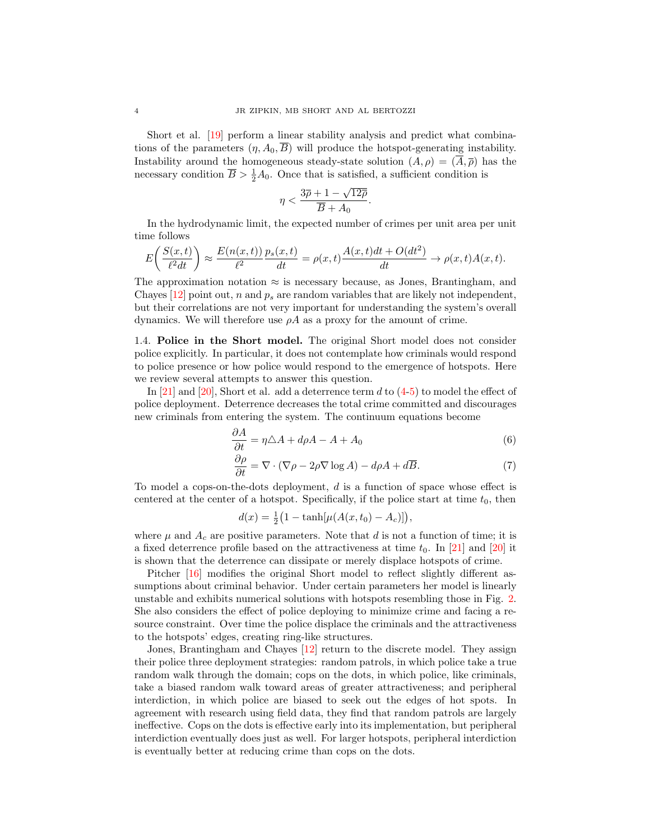Short et al. [\[19\]](#page-27-4) perform a linear stability analysis and predict what combinations of the parameters  $(\eta, A_0, B)$  will produce the hotspot-generating instability. Instability around the homogeneous steady-state solution  $(A, \rho) = (\overline{A}, \overline{\rho})$  has the necessary condition  $\overline{B} > \frac{1}{2}A_0$ . Once that is satisfied, a sufficient condition is

$$
\eta < \frac{3\overline{\rho} + 1 - \sqrt{12\overline{\rho}}}{\overline{B} + A_0}.
$$

In the hydrodynamic limit, the expected number of crimes per unit area per unit time follows

$$
E\bigg(\frac{S(x,t)}{\ell^2 dt}\bigg) \approx \frac{E(n(x,t))}{\ell^2}\frac{p_s(x,t)}{dt} = \rho(x,t)\frac{A(x,t)dt+O(dt^2)}{dt} \rightarrow \rho(x,t)A(x,t).
$$

The approximation notation  $\approx$  is necessary because, as Jones, Brantingham, and Chayes [\[12\]](#page-27-12) point out, n and  $p_s$  are random variables that are likely not independent, but their correlations are not very important for understanding the system's overall dynamics. We will therefore use  $\rho A$  as a proxy for the amount of crime.

1.4. Police in the Short model. The original Short model does not consider police explicitly. In particular, it does not contemplate how criminals would respond to police presence or how police would respond to the emergence of hotspots. Here we review several attempts to answer this question.

In  $[21]$  and  $[20]$ , Short et al. add a deterrence term d to  $(4-5)$  $(4-5)$  to model the effect of police deployment. Deterrence decreases the total crime committed and discourages new criminals from entering the system. The continuum equations become

$$
\frac{\partial A}{\partial t} = \eta \triangle A + d\rho A - A + A_0 \tag{6}
$$

<span id="page-3-1"></span><span id="page-3-0"></span>
$$
\frac{\partial \rho}{\partial t} = \nabla \cdot (\nabla \rho - 2\rho \nabla \log A) - d\rho A + d\overline{B}.
$$
 (7)

To model a cops-on-the-dots deployment, d is a function of space whose effect is centered at the center of a hotspot. Specifically, if the police start at time  $t_0$ , then

$$
d(x) = \frac{1}{2} (1 - \tanh[\mu(A(x, t_0) - A_c)]),
$$

where  $\mu$  and  $A_c$  are positive parameters. Note that d is not a function of time; it is a fixed deterrence profile based on the attractiveness at time  $t_0$ . In [\[21\]](#page-27-1) and [\[20\]](#page-27-13) it is shown that the deterrence can dissipate or merely displace hotspots of crime.

Pitcher [\[16\]](#page-27-14) modifies the original Short model to reflect slightly different assumptions about criminal behavior. Under certain parameters her model is linearly unstable and exhibits numerical solutions with hotspots resembling those in Fig. [2.](#page-2-1) She also considers the effect of police deploying to minimize crime and facing a resource constraint. Over time the police displace the criminals and the attractiveness to the hotspots' edges, creating ring-like structures.

Jones, Brantingham and Chayes [\[12\]](#page-27-12) return to the discrete model. They assign their police three deployment strategies: random patrols, in which police take a true random walk through the domain; cops on the dots, in which police, like criminals, take a biased random walk toward areas of greater attractiveness; and peripheral interdiction, in which police are biased to seek out the edges of hot spots. In agreement with research using field data, they find that random patrols are largely ineffective. Cops on the dots is effective early into its implementation, but peripheral interdiction eventually does just as well. For larger hotspots, peripheral interdiction is eventually better at reducing crime than cops on the dots.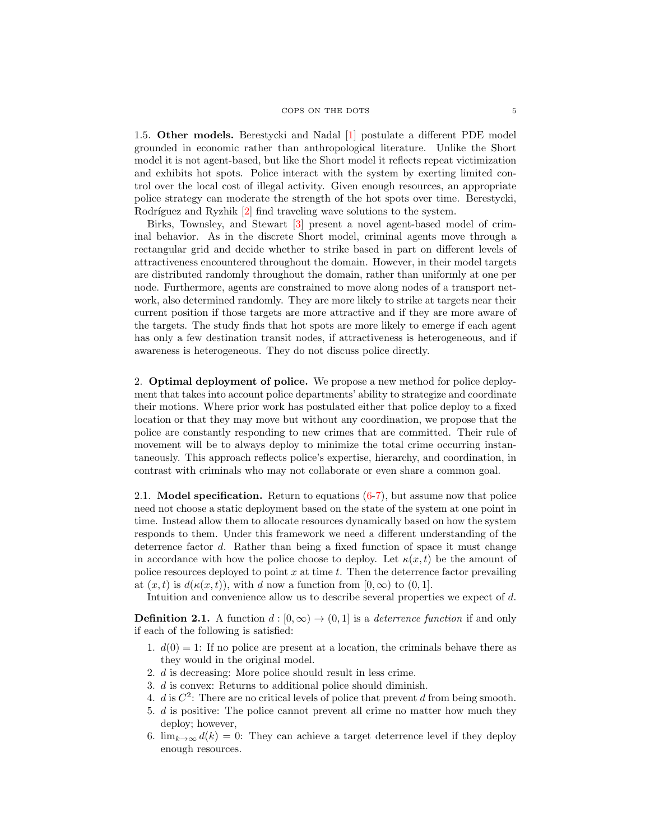### COPS ON THE DOTS 5

1.5. Other models. Berestycki and Nadal [\[1\]](#page-26-2) postulate a different PDE model grounded in economic rather than anthropological literature. Unlike the Short model it is not agent-based, but like the Short model it reflects repeat victimization and exhibits hot spots. Police interact with the system by exerting limited control over the local cost of illegal activity. Given enough resources, an appropriate police strategy can moderate the strength of the hot spots over time. Berestycki, Rodríguez and Ryzhik [\[2\]](#page-26-3) find traveling wave solutions to the system.

Birks, Townsley, and Stewart [\[3\]](#page-26-4) present a novel agent-based model of criminal behavior. As in the discrete Short model, criminal agents move through a rectangular grid and decide whether to strike based in part on different levels of attractiveness encountered throughout the domain. However, in their model targets are distributed randomly throughout the domain, rather than uniformly at one per node. Furthermore, agents are constrained to move along nodes of a transport network, also determined randomly. They are more likely to strike at targets near their current position if those targets are more attractive and if they are more aware of the targets. The study finds that hot spots are more likely to emerge if each agent has only a few destination transit nodes, if attractiveness is heterogeneous, and if awareness is heterogeneous. They do not discuss police directly.

2. Optimal deployment of police. We propose a new method for police deployment that takes into account police departments' ability to strategize and coordinate their motions. Where prior work has postulated either that police deploy to a fixed location or that they may move but without any coordination, we propose that the police are constantly responding to new crimes that are committed. Their rule of movement will be to always deploy to minimize the total crime occurring instantaneously. This approach reflects police's expertise, hierarchy, and coordination, in contrast with criminals who may not collaborate or even share a common goal.

2.1. **Model specification.** Return to equations  $(6-7)$  $(6-7)$ , but assume now that police need not choose a static deployment based on the state of the system at one point in time. Instead allow them to allocate resources dynamically based on how the system responds to them. Under this framework we need a different understanding of the deterrence factor d. Rather than being a fixed function of space it must change in accordance with how the police choose to deploy. Let  $\kappa(x, t)$  be the amount of police resources deployed to point  $x$  at time  $t$ . Then the deterrence factor prevailing at  $(x, t)$  is  $d(\kappa(x, t))$ , with d now a function from  $[0, \infty)$  to  $(0, 1]$ .

Intuition and convenience allow us to describe several properties we expect of d.

<span id="page-4-0"></span>**Definition 2.1.** A function  $d : [0, \infty) \to (0, 1]$  is a *deterrence function* if and only if each of the following is satisfied:

- 1.  $d(0) = 1$ : If no police are present at a location, the criminals behave there as they would in the original model.
- 2. d is decreasing: More police should result in less crime.
- 3. d is convex: Returns to additional police should diminish.
- 4.  $d$  is  $C^2$ : There are no critical levels of police that prevent  $d$  from being smooth.
- 5. d is positive: The police cannot prevent all crime no matter how much they deploy; however,
- 6.  $\lim_{k\to\infty} d(k) = 0$ : They can achieve a target deterrence level if they deploy enough resources.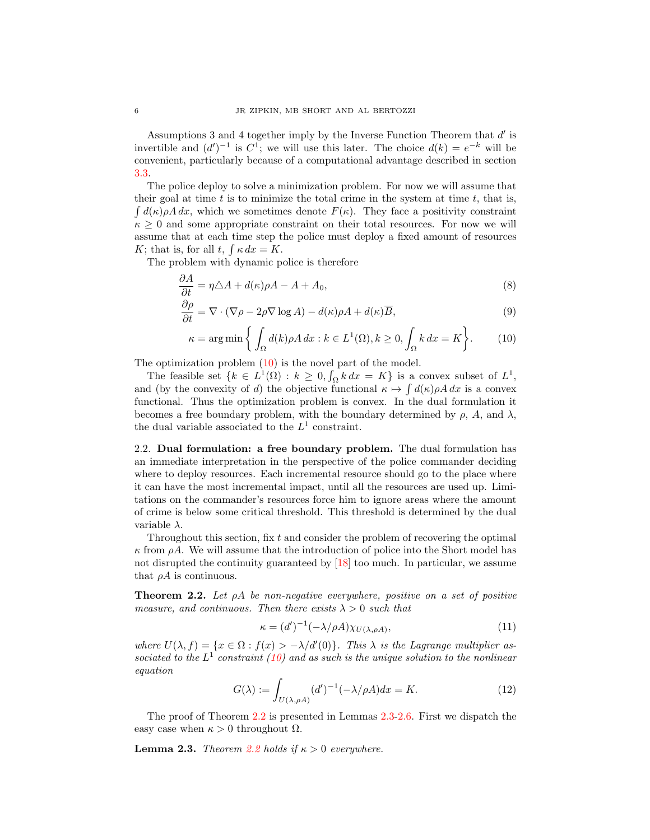Assumptions 3 and 4 together imply by the Inverse Function Theorem that  $d'$  is invertible and  $(d')^{-1}$  is  $C^1$ ; we will use this later. The choice  $d(k) = e^{-k}$  will be convenient, particularly because of a computational advantage described in section [3.3.](#page-18-0)

The police deploy to solve a minimization problem. For now we will assume that their goal at time  $t$  is to minimize the total crime in the system at time  $t$ , that is,  $\int d(\kappa)\rho A\,dx$ , which we sometimes denote  $F(\kappa)$ . They face a positivity constraint  $\kappa > 0$  and some appropriate constraint on their total resources. For now we will assume that at each time step the police must deploy a fixed amount of resources K; that is, for all t,  $\int \kappa dx = K$ .

The problem with dynamic police is therefore

$$
\frac{\partial A}{\partial t} = \eta \triangle A + d(\kappa)\rho A - A + A_0,\tag{8}
$$

$$
\frac{\partial \rho}{\partial t} = \nabla \cdot (\nabla \rho - 2\rho \nabla \log A) - d(\kappa)\rho A + d(\kappa) \overline{B},\tag{9}
$$

<span id="page-5-6"></span><span id="page-5-5"></span><span id="page-5-0"></span>
$$
\kappa = \arg\min\left\{ \int_{\Omega} d(k)\rho A \, dx : k \in L^{1}(\Omega), k \ge 0, \int_{\Omega} k \, dx = K \right\}.
$$
 (10)

The optimization problem  $(10)$  is the novel part of the model.

The feasible set  $\{k \in L^1(\Omega) : k \geq 0, \int_{\Omega} k \, dx = K\}$  is a convex subset of  $L^1$ , and (by the convexity of d) the objective functional  $\kappa \mapsto \int d(\kappa) \rho A dx$  is a convex functional. Thus the optimization problem is convex. In the dual formulation it becomes a free boundary problem, with the boundary determined by  $\rho$ , A, and  $\lambda$ , the dual variable associated to the  $L^1$  constraint.

2.2. Dual formulation: a free boundary problem. The dual formulation has an immediate interpretation in the perspective of the police commander deciding where to deploy resources. Each incremental resource should go to the place where it can have the most incremental impact, until all the resources are used up. Limitations on the commander's resources force him to ignore areas where the amount of crime is below some critical threshold. This threshold is determined by the dual variable  $\lambda$ .

Throughout this section, fix  $t$  and consider the problem of recovering the optimal  $\kappa$  from  $\rho A$ . We will assume that the introduction of police into the Short model has not disrupted the continuity guaranteed by [\[18\]](#page-27-8) too much. In particular, we assume that  $\rho A$  is continuous.

<span id="page-5-1"></span>**Theorem 2.2.** Let  $\rho A$  be non-negative everywhere, positive on a set of positive measure, and continuous. Then there exists  $\lambda > 0$  such that

<span id="page-5-3"></span>
$$
\kappa = (d')^{-1}(-\lambda/\rho A)\chi_{U(\lambda,\rho A)},\tag{11}
$$

where  $U(\lambda, f) = \{x \in \Omega : f(x) > -\lambda/d'(0)\}.$  This  $\lambda$  is the Lagrange multiplier associated to the  $L^1$  constraint [\(10\)](#page-5-0) and as such is the unique solution to the nonlinear equation

<span id="page-5-4"></span>
$$
G(\lambda) := \int_{U(\lambda,\rho A)} (d')^{-1} (-\lambda/\rho A) dx = K.
$$
 (12)

The proof of Theorem [2.2](#page-5-1) is presented in Lemmas [2.3-](#page-5-2)[2.6.](#page-7-0) First we dispatch the easy case when  $\kappa > 0$  throughout  $\Omega$ .

<span id="page-5-2"></span>**Lemma 2.3.** Theorem [2.2](#page-5-1) holds if  $\kappa > 0$  everywhere.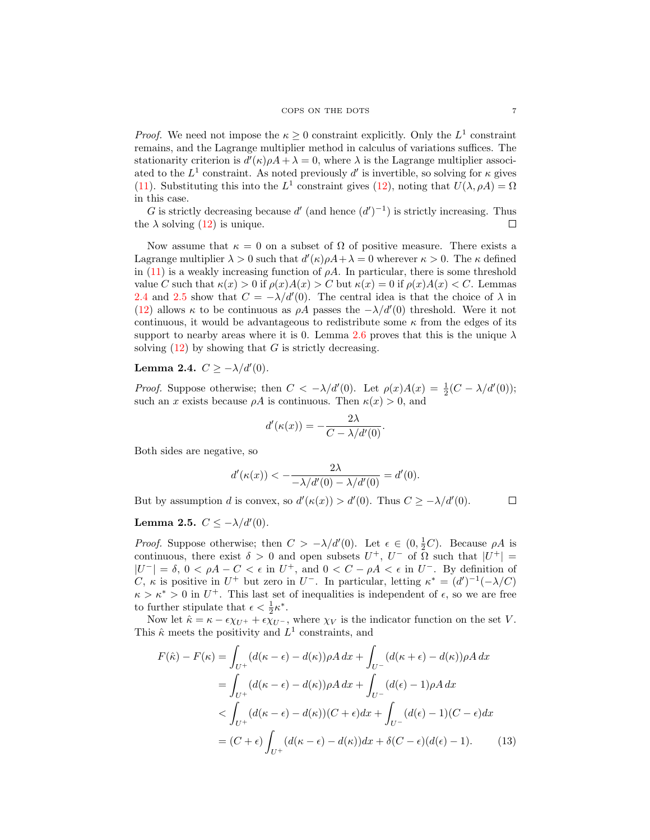*Proof.* We need not impose the  $\kappa \geq 0$  constraint explicitly. Only the  $L^1$  constraint remains, and the Lagrange multiplier method in calculus of variations suffices. The stationarity criterion is  $d'(\kappa)\rho A + \lambda = 0$ , where  $\lambda$  is the Lagrange multiplier associated to the  $L^1$  constraint. As noted previously d' is invertible, so solving for  $\kappa$  gives [\(11\)](#page-5-3). Substituting this into the  $L^1$  constraint gives [\(12\)](#page-5-4), noting that  $U(\lambda, \rho A) = \Omega$ in this case.

G is strictly decreasing because  $d'$  (and hence  $(d')^{-1}$ ) is strictly increasing. Thus the  $\lambda$  solving [\(12\)](#page-5-4) is unique. □

Now assume that  $\kappa = 0$  on a subset of  $\Omega$  of positive measure. There exists a Lagrange multiplier  $\lambda > 0$  such that  $d'(\kappa)\rho A + \lambda = 0$  wherever  $\kappa > 0$ . The  $\kappa$  defined in [\(11\)](#page-5-3) is a weakly increasing function of  $\rho A$ . In particular, there is some threshold value C such that  $\kappa(x) > 0$  if  $\rho(x)A(x) > C$  but  $\kappa(x) = 0$  if  $\rho(x)A(x) < C$ . Lemmas [2.4](#page-6-0) and [2.5](#page-6-1) show that  $C = -\lambda/d'(0)$ . The central idea is that the choice of  $\lambda$  in [\(12\)](#page-5-4) allows  $\kappa$  to be continuous as  $\rho A$  passes the  $-\lambda/d'(0)$  threshold. Were it not continuous, it would be advantageous to redistribute some  $\kappa$  from the edges of its support to nearby areas where it is 0. Lemma [2.6](#page-7-0) proves that this is the unique  $\lambda$ solving  $(12)$  by showing that G is strictly decreasing.

## <span id="page-6-0"></span>Lemma 2.4.  $C \ge -\lambda/d'(0)$ .

*Proof.* Suppose otherwise; then  $C < -\lambda/d'(0)$ . Let  $\rho(x)A(x) = \frac{1}{2}(C - \lambda/d'(0))$ ; such an x exists because  $\rho A$  is continuous. Then  $\kappa(x) > 0$ , and

$$
d'(\kappa(x)) = -\frac{2\lambda}{C - \lambda/d'(0)}.
$$

Both sides are negative, so

$$
d'(\kappa(x)) < -\frac{2\lambda}{-\lambda/d'(0) - \lambda/d'(0)} = d'(0).
$$

But by assumption d is convex, so  $d'(\kappa(x)) > d'(0)$ . Thus  $C \ge -\lambda/d'(0)$ .

### <span id="page-6-2"></span> $\Box$

## <span id="page-6-1"></span>Lemma 2.5.  $C \leq -\lambda/d'(0)$ .

*Proof.* Suppose otherwise; then  $C > -\lambda/d'(0)$ . Let  $\epsilon \in (0, \frac{1}{2}C)$ . Because  $\rho A$  is continuous, there exist  $\delta > 0$  and open subsets  $U^+$ ,  $U^-$  of  $\overline{\Omega}$  such that  $|U^+|$  =  $|U^-| = \delta, 0 < \rho A - C < \epsilon$  in  $U^+$ , and  $0 < C - \rho A < \epsilon$  in  $U^-$ . By definition of C,  $\kappa$  is positive in  $U^+$  but zero in  $U^-$ . In particular, letting  $\kappa^* = (d')^{-1}(-\lambda/C)$  $\kappa > \kappa^* > 0$  in  $U^+$ . This last set of inequalities is independent of  $\epsilon$ , so we are free to further stipulate that  $\epsilon < \frac{1}{2} \kappa^*$ .

Now let  $\hat{\kappa} = \kappa - \epsilon \chi_{U^+} + \epsilon \chi_{U^-}$ , where  $\chi_V$  is the indicator function on the set V. This  $\hat{\kappa}$  meets the positivity and  $L^1$  constraints, and

$$
F(\hat{\kappa}) - F(\kappa) = \int_{U^+} (d(\kappa - \epsilon) - d(\kappa)) \rho A \, dx + \int_{U^-} (d(\kappa + \epsilon) - d(\kappa)) \rho A \, dx
$$
  
\n
$$
= \int_{U^+} (d(\kappa - \epsilon) - d(\kappa)) \rho A \, dx + \int_{U^-} (d(\epsilon) - 1) \rho A \, dx
$$
  
\n
$$
< \int_{U^+} (d(\kappa - \epsilon) - d(\kappa)) (C + \epsilon) dx + \int_{U^-} (d(\epsilon) - 1) (C - \epsilon) dx
$$
  
\n
$$
= (C + \epsilon) \int_{U^+} (d(\kappa - \epsilon) - d(\kappa)) dx + \delta (C - \epsilon) (d(\epsilon) - 1).
$$
 (13)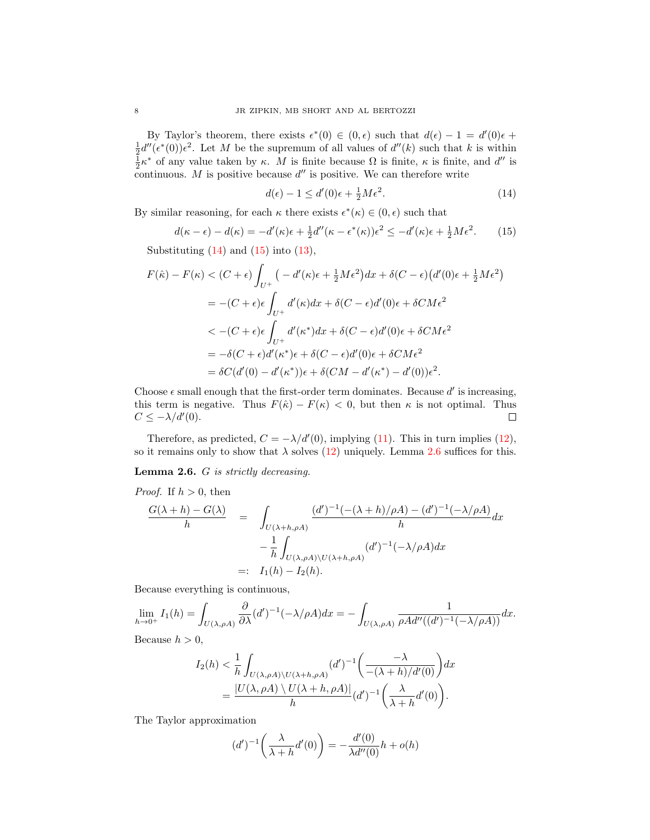By Taylor's theorem, there exists  $\epsilon^*(0) \in (0, \epsilon)$  such that  $d(\epsilon) - 1 = d'(0)\epsilon +$  $\frac{1}{2}d''(\epsilon^*(0))\epsilon^2$ . Let M be the supremum of all values of  $d''(k)$  such that k is within  $\frac{1}{2}\kappa^*$  of any value taken by  $\kappa$ . M is finite because  $\Omega$  is finite,  $\kappa$  is finite, and d'' is continuous. M is positive because  $d''$  is positive. We can therefore write

<span id="page-7-1"></span>
$$
d(\epsilon) - 1 \le d'(0)\epsilon + \frac{1}{2}M\epsilon^2. \tag{14}
$$

By similar reasoning, for each  $\kappa$  there exists  $\epsilon^*(\kappa) \in (0, \epsilon)$  such that

<span id="page-7-2"></span>
$$
d(\kappa - \epsilon) - d(\kappa) = -d'(\kappa)\epsilon + \frac{1}{2}d''(\kappa - \epsilon^*(\kappa))\epsilon^2 \le -d'(\kappa)\epsilon + \frac{1}{2}M\epsilon^2. \tag{15}
$$

Substituting  $(14)$  and  $(15)$  into  $(13)$ ,

$$
F(\hat{\kappa}) - F(\kappa) < (C + \epsilon) \int_{U^+} \left( -d'(\kappa)\epsilon + \frac{1}{2}M\epsilon^2 \right) dx + \delta(C - \epsilon) \left( d'(0)\epsilon + \frac{1}{2}M\epsilon^2 \right)
$$
\n
$$
= -(C + \epsilon)\epsilon \int_{U^+} d'(\kappa) dx + \delta(C - \epsilon) d'(0)\epsilon + \delta CM\epsilon^2
$$
\n
$$
\langle -(C + \epsilon)\epsilon \int_{U^+} d'(\kappa^*) dx + \delta(C - \epsilon) d'(0)\epsilon + \delta CM\epsilon^2
$$
\n
$$
= -\delta(C + \epsilon) d'(\kappa^*)\epsilon + \delta(C - \epsilon) d'(0)\epsilon + \delta CM\epsilon^2
$$
\n
$$
= \delta C(d'(0) - d'(\kappa^*))\epsilon + \delta(CM - d'(\kappa^*) - d'(0))\epsilon^2.
$$

Choose  $\epsilon$  small enough that the first-order term dominates. Because  $d'$  is increasing, this term is negative. Thus  $F(\hat{\kappa}) - F(\kappa) < 0$ , but then  $\kappa$  is not optimal. Thus  $C \leq -\lambda/d'(0)$ .  $\Box$ 

Therefore, as predicted,  $C = -\lambda/d'(0)$ , implying [\(11\)](#page-5-3). This in turn implies [\(12\)](#page-5-4), so it remains only to show that  $\lambda$  solves [\(12\)](#page-5-4) uniquely. Lemma [2.6](#page-7-0) suffices for this.

<span id="page-7-0"></span>Lemma 2.6. G is strictly decreasing.

*Proof.* If 
$$
h > 0
$$
, then  
\n
$$
\frac{G(\lambda + h) - G(\lambda)}{h} = \int_{U(\lambda + h, \rho A)} \frac{(d')^{-1}(- (\lambda + h)/\rho A) - (d')^{-1}(-\lambda/\rho A)}{h} dx
$$
\n
$$
- \frac{1}{h} \int_{U(\lambda, \rho A) \backslash U(\lambda + h, \rho A)} (d')^{-1}(-\lambda/\rho A) dx
$$
\n
$$
=: I_1(h) - I_2(h).
$$

Because everything is continuous,

$$
\lim_{h \to 0^+} I_1(h) = \int_{U(\lambda, \rho A)} \frac{\partial}{\partial \lambda} (d')^{-1} (-\lambda/\rho A) dx = - \int_{U(\lambda, \rho A)} \frac{1}{\rho A d''((d')^{-1} (-\lambda/\rho A))} dx.
$$

Because  $h > 0$ ,

$$
I_2(h) < \frac{1}{h} \int_{U(\lambda, \rho A) \setminus U(\lambda + h, \rho A)} (d')^{-1} \left( \frac{-\lambda}{-(\lambda + h)/d'(0)} \right) dx
$$
\n
$$
= \frac{|U(\lambda, \rho A) \setminus U(\lambda + h, \rho A)|}{h} (d')^{-1} \left( \frac{\lambda}{\lambda + h} d'(0) \right).
$$

The Taylor approximation

$$
(d')^{-1}\left(\frac{\lambda}{\lambda+h}d'(0)\right) = -\frac{d'(0)}{\lambda d''(0)}h + o(h)
$$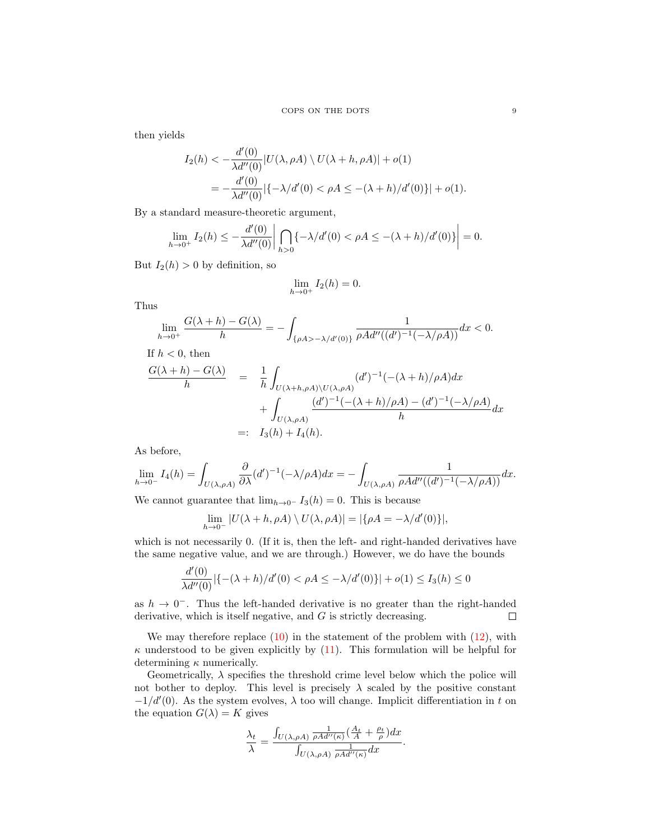then yields

$$
I_2(h) < -\frac{d'(0)}{\lambda d''(0)} |U(\lambda, \rho A) \setminus U(\lambda + h, \rho A)| + o(1)
$$
  
= 
$$
-\frac{d'(0)}{\lambda d''(0)} |\{-\lambda/d'(0) < \rho A \le -(\lambda + h)/d'(0)\}| + o(1).
$$

By a standard measure-theoretic argument,

$$
\lim_{h \to 0^+} I_2(h) \le -\frac{d'(0)}{\lambda d''(0)} \bigg| \bigcap_{h > 0} \{-\lambda/d'(0) < \rho A \le -(\lambda + h)/d'(0)\} \bigg| = 0.
$$

But  $I_2(h) > 0$  by definition, so

$$
\lim_{h \to 0^+} I_2(h) = 0.
$$

Thus

$$
\lim_{h\to 0^+} \frac{G(\lambda+h)-G(\lambda)}{h} = -\int_{\{\rho A > -\lambda/d'(0)\}} \frac{1}{\rho A d''((d')^{-1}(-\lambda/\rho A))} dx < 0.
$$
  
If  $h < 0$ , then

$$
\frac{G(\lambda+h)-G(\lambda)}{h} = \frac{1}{h} \int_{U(\lambda+h,\rho A)\backslash U(\lambda,\rho A)} (d')^{-1} (-(\lambda+h)/\rho A) dx
$$
  
+ 
$$
\int_{U(\lambda,\rho A)} \frac{(d')^{-1} (-(\lambda+h)/\rho A) - (d')^{-1} (-\lambda/\rho A)}{h} dx
$$
  
=: 
$$
I_3(h) + I_4(h).
$$

As before,

$$
\lim_{h \to 0^-} I_4(h) = \int_{U(\lambda,\rho A)} \frac{\partial}{\partial \lambda} (d')^{-1} (-\lambda/\rho A) dx = - \int_{U(\lambda,\rho A)} \frac{1}{\rho A d''((d')^{-1}(-\lambda/\rho A))} dx.
$$

We cannot guarantee that  $\lim_{h\to 0^-} I_3(h) = 0$ . This is because

$$
\lim_{h \to 0^-} |U(\lambda + h, \rho A) \setminus U(\lambda, \rho A)| = |\{\rho A = -\lambda/d'(0)\}|,
$$

which is not necessarily 0. (If it is, then the left- and right-handed derivatives have the same negative value, and we are through.) However, we do have the bounds

$$
\frac{d'(0)}{\lambda d''(0)}|\{-(\lambda+h)/d'(0) < \rho A \le -\lambda/d'(0)\}| + o(1) \le I_3(h) \le 0
$$

as  $h \to 0^-$ . Thus the left-handed derivative is no greater than the right-handed derivative, which is itself negative, and  $G$  is strictly decreasing.  $\Box$ 

We may therefore replace  $(10)$  in the statement of the problem with  $(12)$ , with  $\kappa$  understood to be given explicitly by [\(11\)](#page-5-3). This formulation will be helpful for determining  $\kappa$  numerically.

Geometrically,  $\lambda$  specifies the threshold crime level below which the police will not bother to deploy. This level is precisely  $\lambda$  scaled by the positive constant  $-1/d'(0)$ . As the system evolves,  $\lambda$  too will change. Implicit differentiation in t on the equation  $G(\lambda) = K$  gives

$$
\frac{\lambda_t}{\lambda} = \frac{\int_{U(\lambda, \rho A)} \frac{1}{\rho A d''(\kappa)} \left(\frac{A_t}{A} + \frac{\rho_t}{\rho}\right) dx}{\int_{U(\lambda, \rho A)} \frac{1}{\rho A d''(\kappa)} dx}.
$$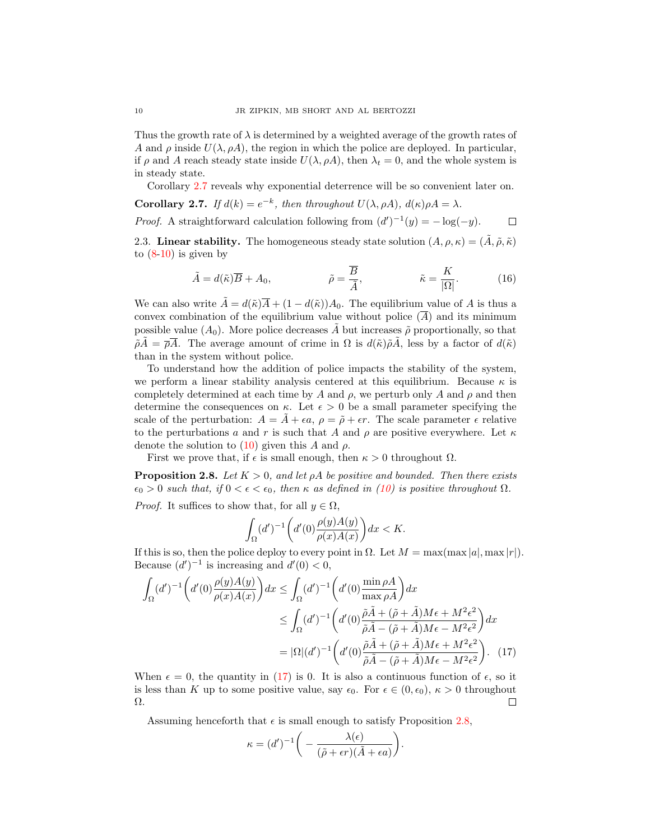Thus the growth rate of  $\lambda$  is determined by a weighted average of the growth rates of A and  $\rho$  inside  $U(\lambda, \rho A)$ , the region in which the police are deployed. In particular, if  $\rho$  and A reach steady state inside  $U(\lambda, \rho A)$ , then  $\lambda_t = 0$ , and the whole system is in steady state.

Corollary [2.7](#page-9-0) reveals why exponential deterrence will be so convenient later on.

<span id="page-9-0"></span>**Corollary 2.7.** If  $d(k) = e^{-k}$ , then throughout  $U(\lambda, \rho A)$ ,  $d(\kappa)\rho A = \lambda$ .

*Proof.* A straightforward calculation following from  $(d')^{-1}(y) = -\log(-y)$ .  $\Box$ 

2.3. Linear stability. The homogeneous steady state solution  $(A, \rho, \kappa) = (\tilde{A}, \tilde{\rho}, \tilde{\kappa})$ to  $(8-10)$  $(8-10)$  is given by

<span id="page-9-3"></span>
$$
\tilde{A} = d(\tilde{\kappa})\overline{B} + A_0, \qquad \tilde{\rho} = \frac{\overline{B}}{\tilde{A}}, \qquad \tilde{\kappa} = \frac{K}{|\Omega|}. \qquad (16)
$$

We can also write  $\tilde{A} = d(\tilde{\kappa})\overline{A} + (1 - d(\tilde{\kappa}))A_0$ . The equilibrium value of A is thus a convex combination of the equilibrium value without police  $(\overline{A})$  and its minimum possible value  $(A_0)$ . More police decreases  $\tilde{A}$  but increases  $\tilde{\rho}$  proportionally, so that  $\tilde{\rho}\tilde{A}=\overline{\rho}\overline{A}$ . The average amount of crime in  $\Omega$  is  $d(\tilde{\kappa})\tilde{\rho}\tilde{A}$ , less by a factor of  $d(\tilde{\kappa})$ than in the system without police.

To understand how the addition of police impacts the stability of the system, we perform a linear stability analysis centered at this equilibrium. Because  $\kappa$  is completely determined at each time by A and  $\rho$ , we perturb only A and  $\rho$  and then determine the consequences on  $\kappa$ . Let  $\epsilon > 0$  be a small parameter specifying the scale of the perturbation:  $A = \tilde{A} + \epsilon a$ ,  $\rho = \tilde{\rho} + \epsilon r$ . The scale parameter  $\epsilon$  relative to the perturbations a and r is such that A and  $\rho$  are positive everywhere. Let  $\kappa$ denote the solution to  $(10)$  given this A and  $\rho$ .

First we prove that, if  $\epsilon$  is small enough, then  $\kappa > 0$  throughout  $\Omega$ .

<span id="page-9-2"></span>**Proposition 2.8.** Let  $K > 0$ , and let  $\rho A$  be positive and bounded. Then there exists  $\epsilon_0 > 0$  such that, if  $0 < \epsilon < \epsilon_0$ , then  $\kappa$  as defined in [\(10\)](#page-5-0) is positive throughout  $\Omega$ .

*Proof.* It suffices to show that, for all  $y \in \Omega$ ,

$$
\int_{\Omega} (d')^{-1} \bigg( d'(0) \frac{\rho(y)A(y)}{\rho(x)A(x)} \bigg) dx < K.
$$

If this is so, then the police deploy to every point in  $\Omega$ . Let  $M = \max(\max |a|, \max |r|)$ . Because  $(d')^{-1}$  is increasing and  $d'(0) < 0$ ,

$$
\int_{\Omega} (d')^{-1} \left( d'(0) \frac{\rho(y)A(y)}{\rho(x)A(x)} \right) dx \le \int_{\Omega} (d')^{-1} \left( d'(0) \frac{\min \rho A}{\max \rho A} \right) dx
$$

$$
\le \int_{\Omega} (d')^{-1} \left( d'(0) \frac{\tilde{\rho} \tilde{A} + (\tilde{\rho} + \tilde{A}) M \epsilon + M^2 \epsilon^2}{\tilde{\rho} \tilde{A} - (\tilde{\rho} + \tilde{A}) M \epsilon - M^2 \epsilon^2} \right) dx
$$

$$
= |\Omega| (d')^{-1} \left( d'(0) \frac{\tilde{\rho} \tilde{A} + (\tilde{\rho} + \tilde{A}) M \epsilon + M^2 \epsilon^2}{\tilde{\rho} \tilde{A} - (\tilde{\rho} + \tilde{A}) M \epsilon - M^2 \epsilon^2} \right). \tag{17}
$$

When  $\epsilon = 0$ , the quantity in [\(17\)](#page-9-1) is 0. It is also a continuous function of  $\epsilon$ , so it is less than K up to some positive value, say  $\epsilon_0$ . For  $\epsilon \in (0, \epsilon_0)$ ,  $\kappa > 0$  throughout Ω. □

Assuming henceforth that  $\epsilon$  is small enough to satisfy Proposition [2.8,](#page-9-2)

<span id="page-9-1"></span>
$$
\kappa = (d')^{-1} \bigg( - \frac{\lambda(\epsilon)}{(\tilde{\rho} + \epsilon r)(\tilde{A} + \epsilon a)} \bigg).
$$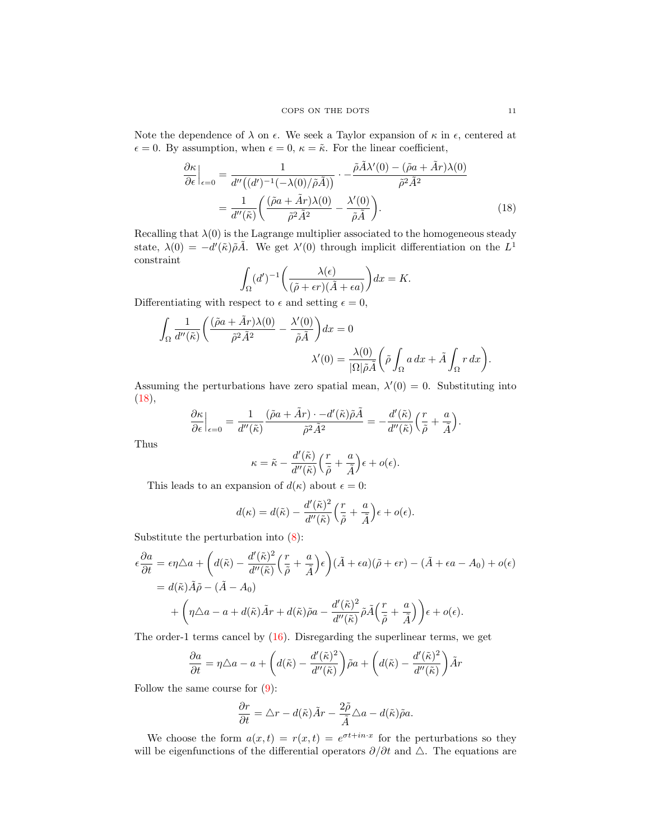Note the dependence of  $\lambda$  on  $\epsilon$ . We seek a Taylor expansion of  $\kappa$  in  $\epsilon$ , centered at  $\epsilon = 0$ . By assumption, when  $\epsilon = 0$ ,  $\kappa = \tilde{\kappa}$ . For the linear coefficient,

$$
\frac{\partial \kappa}{\partial \epsilon}\Big|_{\epsilon=0} = \frac{1}{d''\big((d')^{-1}(-\lambda(0)/\tilde{\rho}\tilde{A})\big)} \cdot -\frac{\tilde{\rho}\tilde{A}\lambda'(0) - (\tilde{\rho}a + \tilde{A}r)\lambda(0)}{\tilde{\rho}^2\tilde{A}^2}
$$

$$
= \frac{1}{d''\big(\tilde{\kappa}\big)} \bigg(\frac{(\tilde{\rho}a + \tilde{A}r)\lambda(0)}{\tilde{\rho}^2\tilde{A}^2} - \frac{\lambda'(0)}{\tilde{\rho}\tilde{A}}\bigg). \tag{18}
$$

Recalling that  $\lambda(0)$  is the Lagrange multiplier associated to the homogeneous steady state,  $\lambda(0) = -d'(\tilde{\kappa})\tilde{\rho}\tilde{A}$ . We get  $\lambda'(0)$  through implicit differentiation on the  $L^1$ constraint

<span id="page-10-0"></span>
$$
\int_{\Omega} (d')^{-1} \bigg( \frac{\lambda(\epsilon)}{(\tilde{\rho} + \epsilon r)(\tilde{A} + \epsilon a)} \bigg) dx = K.
$$

Differentiating with respect to  $\epsilon$  and setting  $\epsilon = 0$ ,

$$
\begin{split} \int_{\Omega}\frac{1}{d''(\tilde{\kappa})}\bigg(\frac{(\tilde{\rho}a+\tilde{A}r)\lambda(0)}{\tilde{\rho}^2\tilde{A}^2}-\frac{\lambda'(0)}{\tilde{\rho}\tilde{A}}\bigg)dx&=0\\ \lambda'(0)&=\frac{\lambda(0)}{|\Omega|\tilde{\rho}\tilde{A}}\bigg(\tilde{\rho}\int_{\Omega}a\,dx+\tilde{A}\int_{\Omega}r\,dx\bigg). \end{split}
$$

Assuming the perturbations have zero spatial mean,  $\lambda'(0) = 0$ . Substituting into  $(18),$  $(18),$ 

$$
\frac{\partial \kappa}{\partial \epsilon}\Big|_{\epsilon=0} = \frac{1}{d''(\tilde \kappa)}\frac{(\tilde \rho a + \tilde A r) \cdot - d'(\tilde \kappa) \tilde \rho \tilde A}{\tilde \rho^2 \tilde A^2} = - \frac{d'(\tilde \kappa)}{d''(\tilde \kappa)}\Big(\frac{r}{\tilde \rho} + \frac{a}{\tilde A}\Big).
$$

Thus

$$
\kappa = \tilde{\kappa} - \frac{d'(\tilde{\kappa})}{d''(\tilde{\kappa})} \left(\frac{r}{\tilde{\rho}} + \frac{a}{\tilde{A}}\right) \epsilon + o(\epsilon).
$$

This leads to an expansion of  $d(\kappa)$  about  $\epsilon = 0$ :

$$
d(\kappa) = d(\tilde{\kappa}) - \frac{d'(\tilde{\kappa})^2}{d''(\tilde{\kappa})} \left(\frac{r}{\tilde{\rho}} + \frac{a}{\tilde{A}}\right) \epsilon + o(\epsilon).
$$

Substitute the perturbation into  $(8)$ :

$$
\epsilon \frac{\partial a}{\partial t} = \epsilon \eta \triangle a + \left( d(\tilde{\kappa}) - \frac{d'(\tilde{\kappa})^2}{d''(\tilde{\kappa})} \left( \frac{r}{\tilde{\rho}} + \frac{a}{\tilde{A}} \right) \epsilon \right) (\tilde{A} + \epsilon a)(\tilde{\rho} + \epsilon r) - (\tilde{A} + \epsilon a - A_0) + o(\epsilon)
$$
  
=  $d(\tilde{\kappa}) \tilde{A} \tilde{\rho} - (\tilde{A} - A_0)$   
+  $\left( \eta \triangle a - a + d(\tilde{\kappa}) \tilde{A}r + d(\tilde{\kappa}) \tilde{\rho} a - \frac{d'(\tilde{\kappa})^2}{d''(\tilde{\kappa})} \tilde{\rho} \tilde{A} \left( \frac{r}{\tilde{\rho}} + \frac{a}{\tilde{A}} \right) \right) \epsilon + o(\epsilon).$ 

The order-1 terms cancel by [\(16\)](#page-9-3). Disregarding the superlinear terms, we get

$$
\frac{\partial a}{\partial t} = \eta \triangle a - a + \left( d(\tilde{\kappa}) - \frac{d'(\tilde{\kappa})^2}{d''(\tilde{\kappa})} \right) \tilde{\rho} a + \left( d(\tilde{\kappa}) - \frac{d'(\tilde{\kappa})^2}{d''(\tilde{\kappa})} \right) \tilde{A} r
$$

Follow the same course for [\(9\)](#page-5-6):

$$
\frac{\partial r}{\partial t} = \triangle r - d(\tilde{\kappa})\tilde{A}r - \frac{2\tilde{\rho}}{\tilde{A}}\triangle a - d(\tilde{\kappa})\tilde{\rho}a.
$$

We choose the form  $a(x,t) = r(x,t) = e^{\sigma t + in \cdot x}$  for the perturbations so they will be eigenfunctions of the differential operators  $\partial/\partial t$  and  $\Delta$ . The equations are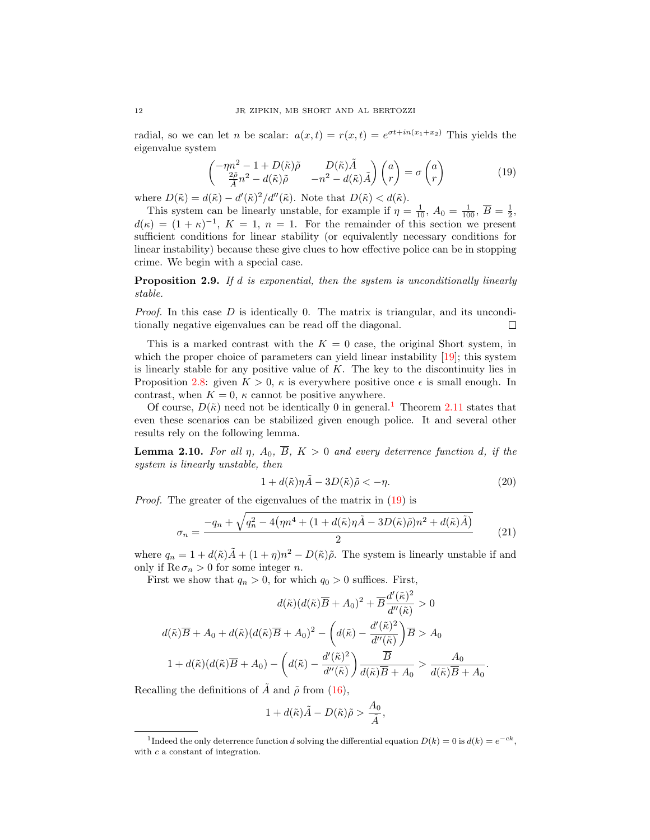radial, so we can let *n* be scalar:  $a(x,t) = r(x,t) = e^{\sigma t + in(x_1+x_2)}$  This yields the eigenvalue system

<span id="page-11-1"></span>
$$
\begin{pmatrix}\n-\eta n^2 - 1 + D(\tilde{\kappa})\tilde{\rho} & D(\tilde{\kappa})\tilde{A} \\
\frac{2\tilde{\rho}}{\tilde{A}}n^2 - d(\tilde{\kappa})\tilde{\rho} & -n^2 - d(\tilde{\kappa})\tilde{A}\n\end{pmatrix}\n\begin{pmatrix}\na \\
r\n\end{pmatrix} = \sigma \begin{pmatrix}\na \\
r\n\end{pmatrix}
$$
\n(19)

where  $D(\tilde{\kappa}) = d(\tilde{\kappa}) - d'(\tilde{\kappa})^2/d''(\tilde{\kappa})$ . Note that  $D(\tilde{\kappa}) < d(\tilde{\kappa})$ .

This system can be linearly unstable, for example if  $\eta = \frac{1}{10}$ ,  $A_0 = \frac{1}{100}$ ,  $\overline{B} = \frac{1}{2}$ ,  $d(\kappa) = (1 + \kappa)^{-1}$ ,  $K = 1$ ,  $n = 1$ . For the remainder of this section we present sufficient conditions for linear stability (or equivalently necessary conditions for linear instability) because these give clues to how effective police can be in stopping crime. We begin with a special case.

<span id="page-11-5"></span>**Proposition 2.9.** If d is exponential, then the system is unconditionally linearly stable.

*Proof.* In this case  $D$  is identically 0. The matrix is triangular, and its unconditionally negative eigenvalues can be read off the diagonal.  $\Box$ 

This is a marked contrast with the  $K = 0$  case, the original Short system, in which the proper choice of parameters can yield linear instability  $[19]$ ; this system is linearly stable for any positive value of  $K$ . The key to the discontinuity lies in Proposition [2.8:](#page-9-2) given  $K > 0$ ,  $\kappa$  is everywhere positive once  $\epsilon$  is small enough. In contrast, when  $K = 0$ ,  $\kappa$  cannot be positive anywhere.

Of course,  $D(\tilde{\kappa})$  need not be identically 0 in general.<sup>[1](#page-11-0)</sup> Theorem [2.11](#page-12-0) states that even these scenarios can be stabilized given enough police. It and several other results rely on the following lemma.

<span id="page-11-4"></span>**Lemma 2.10.** For all  $\eta$ ,  $A_0$ ,  $\overline{B}$ ,  $K > 0$  and every deterrence function d, if the system is linearly unstable, then

<span id="page-11-3"></span>
$$
1 + d(\tilde{\kappa})\eta \tilde{A} - 3D(\tilde{\kappa})\tilde{\rho} < -\eta. \tag{20}
$$

.

Proof. The greater of the eigenvalues of the matrix in [\(19\)](#page-11-1) is

<span id="page-11-2"></span>
$$
\sigma_n = \frac{-q_n + \sqrt{q_n^2 - 4\left(\eta n^4 + (1 + d(\tilde{\kappa})\eta \tilde{A} - 3D(\tilde{\kappa})\tilde{\rho})n^2 + d(\tilde{\kappa})\tilde{A}\right)}}{2}
$$
(21)

where  $q_n = 1 + d(\tilde{\kappa})\tilde{A} + (1 + \eta)n^2 - D(\tilde{\kappa})\tilde{\rho}$ . The system is linearly unstable if and only if  $\text{Re}\,\sigma_n > 0$  for some integer *n*.

First we show that  $q_n > 0$ , for which  $q_0 > 0$  suffices. First,

$$
d(\tilde{\kappa})(d(\tilde{\kappa})\overline{B} + A_0)^2 + \overline{B}\frac{d'(\tilde{\kappa})^2}{d''(\tilde{\kappa})} > 0
$$

$$
d(\tilde{\kappa})\overline{B} + A_0 + d(\tilde{\kappa})(d(\tilde{\kappa})\overline{B} + A_0)^2 - \left(d(\tilde{\kappa}) - \frac{d'(\tilde{\kappa})^2}{d''(\tilde{\kappa})}\right)\overline{B} > A_0
$$

$$
1 + d(\tilde{\kappa})(d(\tilde{\kappa})\overline{B} + A_0) - \left(d(\tilde{\kappa}) - \frac{d'(\tilde{\kappa})^2}{d''(\tilde{\kappa})}\right)\frac{\overline{B}}{d(\tilde{\kappa})\overline{B} + A_0} > \frac{A_0}{d(\tilde{\kappa})\overline{B} + A_0}
$$

Recalling the definitions of A and  $\tilde{\rho}$  from [\(16\)](#page-9-3),

$$
1+d(\tilde{\kappa})\tilde{A}-D(\tilde{\kappa})\tilde{\rho}>\frac{A_0}{\tilde{A}},
$$

<span id="page-11-0"></span><sup>&</sup>lt;sup>1</sup>Indeed the only deterrence function d solving the differential equation  $D(k) = 0$  is  $d(k) = e^{-ck}$ , with c a constant of integration.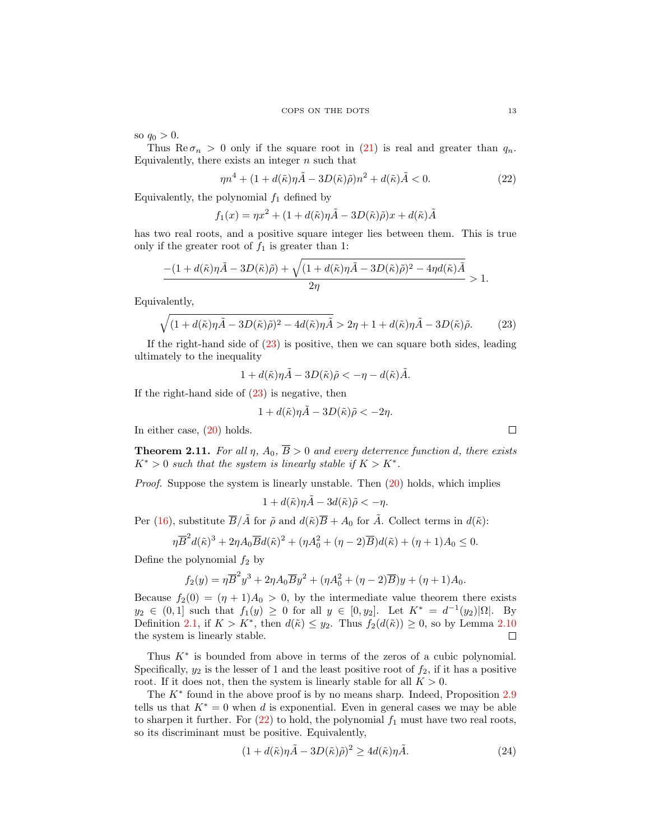so  $q_0 > 0$ .

Thus  $\text{Re}\,\sigma_n > 0$  only if the square root in [\(21\)](#page-11-2) is real and greater than  $q_n$ . Equivalently, there exists an integer  $n$  such that

<span id="page-12-2"></span>
$$
\eta n^4 + (1 + d(\tilde{\kappa})\eta \tilde{A} - 3D(\tilde{\kappa})\tilde{\rho})n^2 + d(\tilde{\kappa})\tilde{A} < 0. \tag{22}
$$

Equivalently, the polynomial  $f_1$  defined by

$$
f_1(x) = \eta x^2 + (1 + d(\tilde{\kappa})\eta \tilde{A} - 3D(\tilde{\kappa})\tilde{\rho})x + d(\tilde{\kappa})\tilde{A}
$$

has two real roots, and a positive square integer lies between them. This is true only if the greater root of  $f_1$  is greater than 1:

$$
\frac{-(1+d(\tilde\kappa)\eta\tilde A-3D(\tilde\kappa)\tilde\rho)+\sqrt{(1+d(\tilde\kappa)\eta\tilde A-3D(\tilde\kappa)\tilde\rho)^2-4\eta d(\tilde\kappa)\tilde A}}{2\eta}>1.
$$

Equivalently,

<span id="page-12-1"></span>
$$
\sqrt{(1+d(\tilde{\kappa})\eta\tilde{A}-3D(\tilde{\kappa})\tilde{\rho})^2-4d(\tilde{\kappa})\eta\tilde{A}}>2\eta+1+d(\tilde{\kappa})\eta\tilde{A}-3D(\tilde{\kappa})\tilde{\rho}.
$$
 (23)

If the right-hand side of [\(23\)](#page-12-1) is positive, then we can square both sides, leading ultimately to the inequality

 $1 + d(\tilde{\kappa})\eta \tilde{A} - 3D(\tilde{\kappa})\tilde{\rho} < -\eta - d(\tilde{\kappa})\tilde{A}.$ 

If the right-hand side of  $(23)$  is negative, then

$$
1 + d(\tilde{\kappa})\eta \tilde{A} - 3D(\tilde{\kappa})\tilde{\rho} < -2\eta.
$$

In either case, [\(20\)](#page-11-3) holds.

<span id="page-12-0"></span>**Theorem 2.11.** For all  $\eta$ ,  $A_0$ ,  $\overline{B} > 0$  and every deterrence function d, there exists  $K^* > 0$  such that the system is linearly stable if  $K > K^*$ .

Proof. Suppose the system is linearly unstable. Then  $(20)$  holds, which implies

 $1 + d(\tilde{\kappa})\eta \tilde{A} - 3d(\tilde{\kappa})\tilde{\rho} < -\eta.$ 

Per [\(16\)](#page-9-3), substitute  $\overline{B}/\tilde{A}$  for  $\tilde{\rho}$  and  $d(\tilde{\kappa})\overline{B} + A_0$  for  $\tilde{A}$ . Collect terms in  $d(\tilde{\kappa})$ :

$$
\eta \overline{B}^2 d(\tilde \kappa)^3 + 2 \eta A_0 \overline{B} d(\tilde \kappa)^2 + (\eta A_0^2 + (\eta - 2) \overline{B}) d(\tilde \kappa) + (\eta + 1) A_0 \le 0.
$$

Define the polynomial  $f_2$  by

$$
f_2(y) = \eta \overline{B}^2 y^3 + 2\eta A_0 \overline{B} y^2 + (\eta A_0^2 + (\eta - 2)\overline{B})y + (\eta + 1)A_0.
$$

Because  $f_2(0) = (\eta + 1)A_0 > 0$ , by the intermediate value theorem there exists  $y_2 \in (0,1]$  such that  $f_1(y) \ge 0$  for all  $y \in [0,y_2]$ . Let  $K^* = d^{-1}(y_2)|\Omega|$ . By Definition [2.1,](#page-4-0) if  $K > K^*$ , then  $d(\tilde{\kappa}) \leq y_2$ . Thus  $f_2(d(\tilde{\kappa})) \geq 0$ , so by Lemma [2.10](#page-11-4) the system is linearly stable.  $\Box$ 

Thus K<sup>∗</sup> is bounded from above in terms of the zeros of a cubic polynomial. Specifically,  $y_2$  is the lesser of 1 and the least positive root of  $f_2$ , if it has a positive root. If it does not, then the system is linearly stable for all  $K > 0$ .

The  $K^*$  found in the above proof is by no means sharp. Indeed, Proposition [2.9](#page-11-5) tells us that  $K^* = 0$  when d is exponential. Even in general cases we may be able to sharpen it further. For  $(22)$  to hold, the polynomial  $f_1$  must have two real roots, so its discriminant must be positive. Equivalently,

<span id="page-12-3"></span>
$$
(1 + d(\tilde{\kappa})\eta \tilde{A} - 3D(\tilde{\kappa})\tilde{\rho})^2 \ge 4d(\tilde{\kappa})\eta \tilde{A}.
$$
 (24)

 $\Box$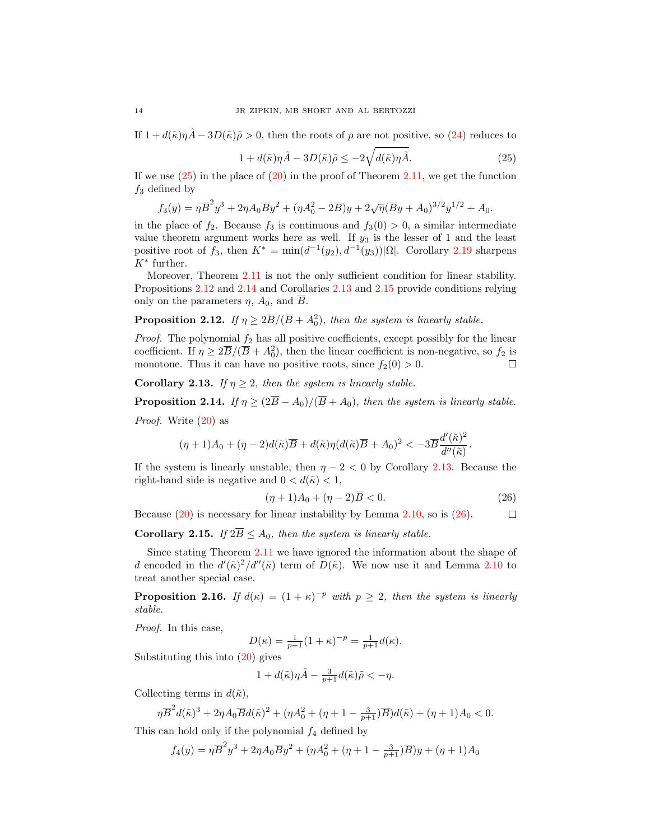If  $1 + d(\tilde{\kappa})n\tilde{A} - 3D(\tilde{\kappa})\tilde{\rho} > 0$ , then the roots of p are not positive, so [\(24\)](#page-12-3) reduces to

<span id="page-13-0"></span>
$$
1 + d(\tilde{\kappa})\eta \tilde{A} - 3D(\tilde{\kappa})\tilde{\rho} \le -2\sqrt{d(\tilde{\kappa})\eta \tilde{A}}.\tag{25}
$$

If we use  $(25)$  in the place of  $(20)$  in the proof of Theorem [2.11,](#page-12-0) we get the function  $f_3$  defined by

$$
f_3(y) = \eta \overline{B}^2 y^3 + 2\eta A_0 \overline{B} y^2 + (\eta A_0^2 - 2\overline{B})y + 2\sqrt{\eta}(\overline{B}y + A_0)^{3/2} y^{1/2} + A_0.
$$

in the place of  $f_2$ . Because  $f_3$  is continuous and  $f_3(0) > 0$ , a similar intermediate value theorem argument works here as well. If  $y_3$  is the lesser of 1 and the least positive root of  $f_3$ , then  $K^* = \min(d^{-1}(y_2), d^{-1}(y_3))|\Omega|$ . Corollary [2.19](#page-15-0) sharpens  $K^*$  further.

Moreover, Theorem [2.11](#page-12-0) is not the only sufficient condition for linear stability. Propositions [2.12](#page-13-1) and [2.14](#page-13-2) and Corollaries [2.13](#page-13-3) and [2.15](#page-13-4) provide conditions relying only on the parameters  $\eta$ ,  $A_0$ , and  $\overline{B}$ .

# <span id="page-13-1"></span>**Proposition 2.12.** If  $\eta \geq 2\overline{B}/(\overline{B} + A_0^2)$ , then the system is linearly stable.

*Proof.* The polynomial  $f_2$  has all positive coefficients, except possibly for the linear coefficient. If  $\eta \geq 2\overline{B}/(\overline{B}+A_0^2)$ , then the linear coefficient is non-negative, so  $f_2$  is monotone. Thus it can have no positive roots, since  $f_2(0) > 0$ .  $\Box$ 

<span id="page-13-3"></span>Corollary 2.13. If  $\eta \geq 2$ , then the system is linearly stable.

<span id="page-13-2"></span>**Proposition 2.14.** If  $\eta \geq (2\overline{B} - A_0)/(\overline{B} + A_0)$ , then the system is linearly stable. Proof. Write [\(20\)](#page-11-3) as

$$
(\eta+1)A_0+(\eta-2)d(\tilde\kappa)\overline B+d(\tilde\kappa)\eta(d(\tilde\kappa)\overline B+A_0)^2<-3\overline B\frac{d'(\tilde\kappa)^2}{d''(\tilde\kappa)}.
$$

If the system is linearly unstable, then  $\eta - 2 < 0$  by Corollary [2.13.](#page-13-3) Because the right-hand side is negative and  $0 < d(\tilde{\kappa}) < 1$ ,

<span id="page-13-5"></span>
$$
(\eta + 1)A_0 + (\eta - 2)\overline{B} < 0. \tag{26}
$$

Because  $(20)$  is necessary for linear instability by Lemma [2.10,](#page-11-4) so is  $(26)$ .  $\Box$ 

<span id="page-13-4"></span>**Corollary 2.15.** If  $2\overline{B} \leq A_0$ , then the system is linearly stable.

Since stating Theorem [2.11](#page-12-0) we have ignored the information about the shape of d encoded in the  $d'(\tilde{\kappa})^2/d''(\tilde{\kappa})$  term of  $D(\tilde{\kappa})$ . We now use it and Lemma [2.10](#page-11-4) to treat another special case.

**Proposition 2.16.** If  $d(\kappa) = (1 + \kappa)^{-p}$  with  $p \geq 2$ , then the system is linearly stable.

Proof. In this case,

$$
D(\kappa) = \frac{1}{p+1}(1+\kappa)^{-p} = \frac{1}{p+1}d(\kappa).
$$

Substituting this into [\(20\)](#page-11-3) gives

$$
1 + d(\tilde{\kappa})\eta \tilde{A} - \frac{3}{p+1}d(\tilde{\kappa})\tilde{\rho} < -\eta.
$$

Collecting terms in  $d(\tilde{\kappa})$ ,

$$
\eta \overline{B}^2 d(\tilde{\kappa})^3 + 2\eta A_0 \overline{B} d(\tilde{\kappa})^2 + (\eta A_0^2 + (\eta + 1 - \frac{3}{p+1}) \overline{B}) d(\tilde{\kappa}) + (\eta + 1) A_0 < 0.
$$

This can hold only if the polynomial  $f_4$  defined by

$$
f_4(y) = \eta \overline{B}^2 y^3 + 2\eta A_0 \overline{B} y^2 + (\eta A_0^2 + (\eta + 1 - \frac{3}{p+1}) \overline{B})y + (\eta + 1)A_0
$$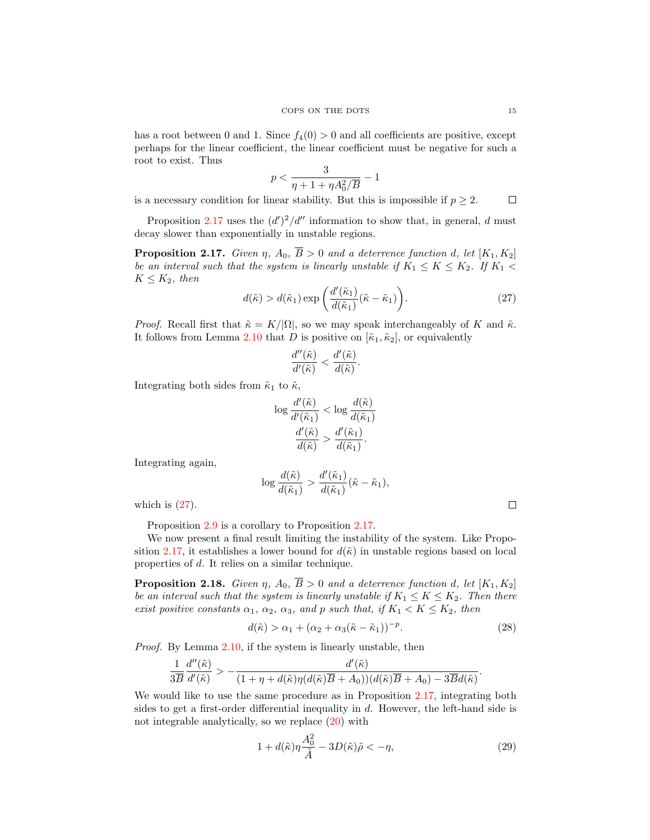has a root between 0 and 1. Since  $f_4(0) > 0$  and all coefficients are positive, except perhaps for the linear coefficient, the linear coefficient must be negative for such a root to exist. Thus

$$
p < \frac{3}{\eta+1+\eta A_0^2/\overline{B}}-1
$$

is a necessary condition for linear stability. But this is impossible if  $p \geq 2$ .  $\Box$ 

Proposition [2.17](#page-14-0) uses the  $(d')^2/d''$  information to show that, in general, d must decay slower than exponentially in unstable regions.

<span id="page-14-0"></span>**Proposition 2.17.** Given  $\eta$ ,  $A_0$ ,  $\overline{B} > 0$  and a deterrence function d, let  $[K_1, K_2]$ be an interval such that the system is linearly unstable if  $K_1 \leq K \leq K_2$ . If  $K_1$  $K \leq K_2$ , then

<span id="page-14-1"></span>
$$
d(\tilde{\kappa}) > d(\tilde{\kappa}_1) \exp\left(\frac{d'(\tilde{\kappa}_1)}{d(\tilde{\kappa}_1)}(\tilde{\kappa} - \tilde{\kappa}_1)\right).
$$
 (27)

*Proof.* Recall first that  $\tilde{\kappa} = K/|\Omega|$ , so we may speak interchangeably of K and  $\tilde{\kappa}$ . It follows from Lemma [2.10](#page-11-4) that D is positive on  $[\tilde{\kappa}_1, \tilde{\kappa}_2]$ , or equivalently

$$
\frac{d''(\tilde{\kappa})}{d'(\tilde{\kappa})} < \frac{d'(\tilde{\kappa})}{d(\tilde{\kappa})}.
$$

Integrating both sides from  $\tilde{\kappa}_1$  to  $\tilde{\kappa}$ ,

$$
\log \frac{d'(\tilde{\kappa})}{d'(\tilde{\kappa}_1)} < \log \frac{d(\tilde{\kappa})}{d(\tilde{\kappa}_1)} \\
\frac{d'(\tilde{\kappa})}{d(\tilde{\kappa})} > \frac{d'(\tilde{\kappa}_1)}{d(\tilde{\kappa}_1)}.
$$

Integrating again,

$$
\log \frac{d(\tilde{\kappa})}{d(\tilde{\kappa}_1)} > \frac{d'(\tilde{\kappa}_1)}{d(\tilde{\kappa}_1)}(\tilde{\kappa} - \tilde{\kappa}_1),
$$

which is  $(27)$ .

Proposition [2.9](#page-11-5) is a corollary to Proposition [2.17.](#page-14-0)

We now present a final result limiting the instability of the system. Like Propo-sition [2.17,](#page-14-0) it establishes a lower bound for  $d(\tilde{\kappa})$  in unstable regions based on local properties of d. It relies on a similar technique.

**Proposition 2.18.** Given  $\eta$ ,  $A_0$ ,  $\overline{B} > 0$  and a deterrence function d, let  $[K_1, K_2]$ be an interval such that the system is linearly unstable if  $K_1 \leq K \leq K_2$ . Then there exist positive constants  $\alpha_1$ ,  $\alpha_2$ ,  $\alpha_3$ , and p such that, if  $K_1 < K \leq K_2$ , then

<span id="page-14-3"></span>
$$
d(\tilde{\kappa}) > \alpha_1 + (\alpha_2 + \alpha_3(\tilde{\kappa} - \tilde{\kappa}_1))^{-p}.
$$
\n(28)

Proof. By Lemma [2.10,](#page-11-4) if the system is linearly unstable, then

$$
\frac{1}{3\overline{B}}\frac{d''(\tilde{\kappa})}{d'(\tilde{\kappa})} > -\frac{d'(\tilde{\kappa})}{(1+\eta+d(\tilde{\kappa})\eta(d(\tilde{\kappa})\overline{B}+A_0))(d(\tilde{\kappa})\overline{B}+A_0)-3\overline{B}d(\tilde{\kappa})}.
$$

We would like to use the same procedure as in Proposition [2.17,](#page-14-0) integrating both sides to get a first-order differential inequality in  $d$ . However, the left-hand side is not integrable analytically, so we replace [\(20\)](#page-11-3) with

<span id="page-14-2"></span>
$$
1 + d(\tilde{\kappa})\eta \frac{A_0^2}{\tilde{A}} - 3D(\tilde{\kappa})\tilde{\rho} < -\eta,
$$
\n(29)

 $\Box$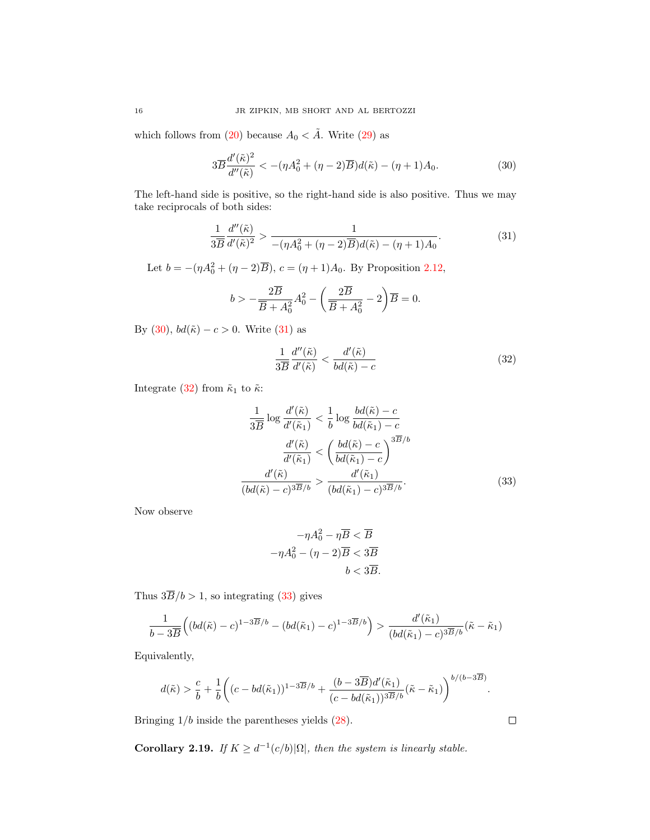which follows from [\(20\)](#page-11-3) because  $A_0 < \tilde{A}$ . Write [\(29\)](#page-14-2) as

<span id="page-15-1"></span>
$$
3\overline{B}\frac{d'(\tilde{\kappa})^2}{d''(\tilde{\kappa})} < -(\eta A_0^2 + (\eta - 2)\overline{B})d(\tilde{\kappa}) - (\eta + 1)A_0.
$$
\n(30)

The left-hand side is positive, so the right-hand side is also positive. Thus we may take reciprocals of both sides:

<span id="page-15-2"></span>
$$
\frac{1}{3\overline{B}}\frac{d''(\tilde{\kappa})}{d'(\tilde{\kappa})^2} > \frac{1}{-(\eta A_0^2 + (\eta - 2)\overline{B})d(\tilde{\kappa}) - (\eta + 1)A_0}.\tag{31}
$$

Let  $b = -(\eta A_0^2 + (\eta - 2)\overline{B})$ ,  $c = (\eta + 1)A_0$ . By Proposition [2.12,](#page-13-1)

$$
b > -\frac{2\overline{B}}{\overline{B} + A_0^2}A_0^2 - \left(\frac{2\overline{B}}{\overline{B} + A_0^2} - 2\right)\overline{B} = 0.
$$

By [\(30\)](#page-15-1),  $bd(\tilde{\kappa}) - c > 0$ . Write [\(31\)](#page-15-2) as

<span id="page-15-3"></span>
$$
\frac{1}{3\overline{B}}\frac{d''(\tilde{\kappa})}{d'(\tilde{\kappa})} < \frac{d'(\tilde{\kappa})}{bd(\tilde{\kappa}) - c} \tag{32}
$$

Integrate [\(32\)](#page-15-3) from  $\tilde{\kappa}_1$  to  $\tilde{\kappa}$ :

$$
\frac{1}{3\overline{B}}\log\frac{d'(\tilde{\kappa})}{d'(\tilde{\kappa}_1)} < \frac{1}{b}\log\frac{bd(\tilde{\kappa}) - c}{bd(\tilde{\kappa}_1) - c}
$$
\n
$$
\frac{d'(\tilde{\kappa})}{d'(\tilde{\kappa}_1)} < \left(\frac{bd(\tilde{\kappa}) - c}{bd(\tilde{\kappa}_1) - c}\right)^{3\overline{B}/b}
$$
\n
$$
\frac{d'(\tilde{\kappa})}{(bd(\tilde{\kappa}) - c)^{3\overline{B}/b}} > \frac{d'(\tilde{\kappa}_1)}{(bd(\tilde{\kappa}_1) - c)^{3\overline{B}/b}}.\tag{33}
$$

Now observe

<span id="page-15-4"></span>
$$
-\eta A_0^2 - \eta \overline{B} < \overline{B}
$$
\n
$$
-\eta A_0^2 - (\eta - 2)\overline{B} < 3\overline{B}
$$
\n
$$
b < 3\overline{B}.
$$

Thus  $3\overline{B}/b > 1$ , so integrating [\(33\)](#page-15-4) gives

$$
\frac{1}{b-3\overline{B}}\Big((bd(\tilde{\kappa})-c)^{1-3\overline{B}/b}-(bd(\tilde{\kappa}_1)-c)^{1-3\overline{B}/b}\Big)>\frac{d'(\tilde{\kappa}_1)}{(bd(\tilde{\kappa}_1)-c)^{3\overline{B}/b}}(\tilde{\kappa}-\tilde{\kappa}_1)
$$

Equivalently,

$$
d(\tilde{\kappa}) > \frac{c}{b} + \frac{1}{b} \bigg( (c - bd(\tilde{\kappa}_1))^{1-3\overline{B}/b} + \frac{(b-3\overline{B})d'(\tilde{\kappa}_1)}{(c - bd(\tilde{\kappa}_1))^{3\overline{B}/b}} (\tilde{\kappa} - \tilde{\kappa}_1) \bigg)^{b/(b-3\overline{B})}.
$$

Bringing 1/b inside the parentheses yields [\(28\)](#page-14-3).

<span id="page-15-0"></span>Corollary 2.19. If  $K \geq d^{-1}(c/b)|\Omega|$ , then the system is linearly stable.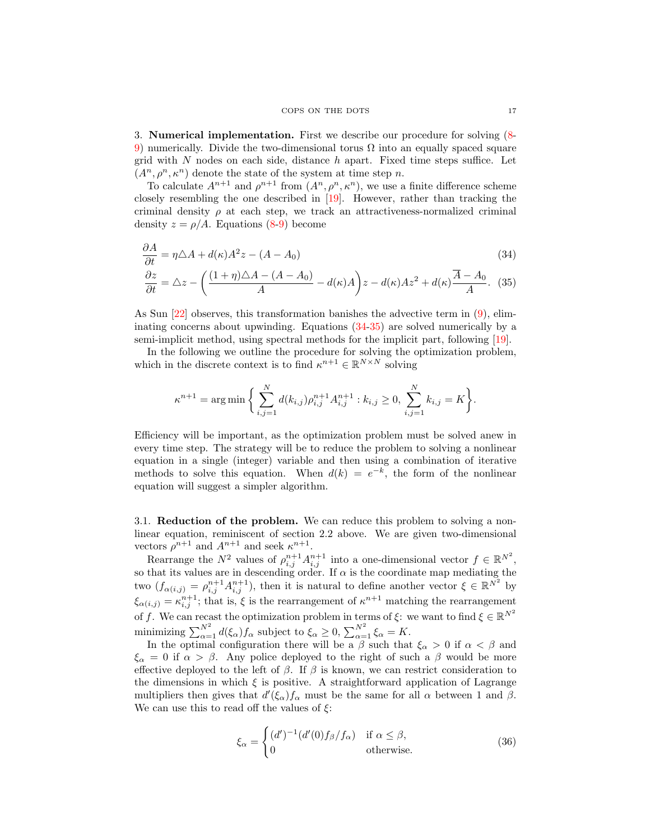### <span id="page-16-1"></span><span id="page-16-0"></span>COPS ON THE DOTS 17

<span id="page-16-3"></span>3. Numerical implementation. First we describe our procedure for solving [\(8-](#page-5-5) [9\)](#page-5-6) numerically. Divide the two-dimensional torus  $\Omega$  into an equally spaced square grid with  $N$  nodes on each side, distance  $h$  apart. Fixed time steps suffice. Let  $(A^n, \rho^n, \kappa^n)$  denote the state of the system at time step n.

To calculate  $A^{n+1}$  and  $\rho^{n+1}$  from  $(A^n, \rho^n, \kappa^n)$ , we use a finite difference scheme closely resembling the one described in [\[19\]](#page-27-4). However, rather than tracking the criminal density  $\rho$  at each step, we track an attractiveness-normalized criminal density  $z = \rho/A$ . Equations [\(8](#page-5-5)[-9\)](#page-5-6) become

$$
\frac{\partial A}{\partial t} = \eta \triangle A + d(\kappa) A^2 z - (A - A_0)
$$
\n(34)

$$
\frac{\partial z}{\partial t} = \triangle z - \left(\frac{(1+\eta)\triangle A - (A-A_0)}{A} - d(\kappa)A\right)z - d(\kappa)Az^2 + d(\kappa)\frac{\overline{A}-A_0}{A}.\tag{35}
$$

As Sun [\[22\]](#page-27-15) observes, this transformation banishes the advective term in [\(9\)](#page-5-6), eliminating concerns about upwinding. Equations [\(34-](#page-16-0)[35\)](#page-16-1) are solved numerically by a semi-implicit method, using spectral methods for the implicit part, following [\[19\]](#page-27-4).

In the following we outline the procedure for solving the optimization problem, which in the discrete context is to find  $\kappa^{n+1} \in \mathbb{R}^{N \times N}$  solving

$$
\kappa^{n+1} = \arg \min \bigg\{ \sum_{i,j=1}^N d(k_{i,j}) \rho_{i,j}^{n+1} A_{i,j}^{n+1} : k_{i,j} \ge 0, \sum_{i,j=1}^N k_{i,j} = K \bigg\}.
$$

Efficiency will be important, as the optimization problem must be solved anew in every time step. The strategy will be to reduce the problem to solving a nonlinear equation in a single (integer) variable and then using a combination of iterative methods to solve this equation. When  $d(k) = e^{-k}$ , the form of the nonlinear equation will suggest a simpler algorithm.

3.1. Reduction of the problem. We can reduce this problem to solving a nonlinear equation, reminiscent of section 2.2 above. We are given two-dimensional vectors  $\rho^{n+1}$  and  $A^{n+1}$  and seek  $\kappa^{n+1}$ .

Rearrange the  $N^2$  values of  $\rho_{i,j}^{n+1} A_{i,j}^{n+1}$  into a one-dimensional vector  $f \in \mathbb{R}^{N^2}$ , so that its values are in descending order. If  $\alpha$  is the coordinate map mediating the two  $(f_{\alpha(i,j)} = \rho_{i,j}^{n+1} A_{i,j}^{n+1}),$  then it is natural to define another vector  $\xi \in \mathbb{R}^{N^2}$  by  $\xi_{\alpha(i,j)} = \kappa_{i,j}^{n+1}$ ; that is,  $\xi$  is the rearrangement of  $\kappa^{n+1}$  matching the rearrangement of f. We can recast the optimization problem in terms of  $\xi$ : we want to find  $\xi \in \mathbb{R}^{N^2}$ minimizing  $\sum_{\alpha=1}^{N^2} d(\xi_{\alpha}) f_{\alpha}$  subject to  $\xi_{\alpha} \geq 0$ ,  $\sum_{\alpha=1}^{N^2} \xi_{\alpha} = K$ .

In the optimal configuration there will be a  $\beta$  such that  $\xi_{\alpha} > 0$  if  $\alpha < \beta$  and  $\xi_{\alpha} = 0$  if  $\alpha > \beta$ . Any police deployed to the right of such a  $\beta$  would be more effective deployed to the left of  $\beta$ . If  $\beta$  is known, we can restrict consideration to the dimensions in which  $\xi$  is positive. A straightforward application of Lagrange multipliers then gives that  $d'(\xi_{\alpha})f_{\alpha}$  must be the same for all  $\alpha$  between 1 and  $\beta$ . We can use this to read off the values of  $\xi$ :

<span id="page-16-2"></span>
$$
\xi_{\alpha} = \begin{cases} (d')^{-1} (d'(0)f_{\beta}/f_{\alpha}) & \text{if } \alpha \leq \beta, \\ 0 & \text{otherwise.} \end{cases}
$$
 (36)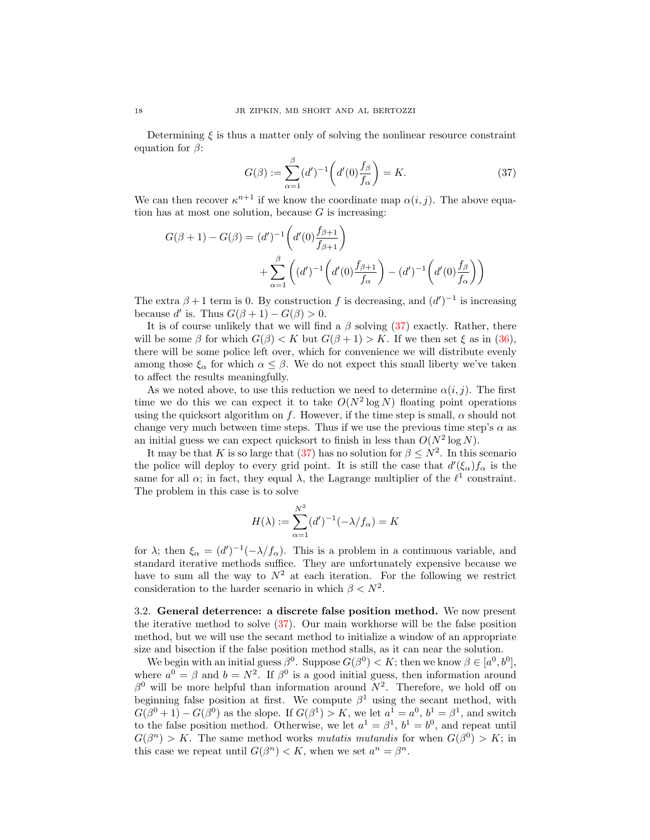Determining  $\xi$  is thus a matter only of solving the nonlinear resource constraint equation for  $\beta$ :

<span id="page-17-0"></span>
$$
G(\beta) := \sum_{\alpha=1}^{\beta} (d')^{-1} \left( d'(0) \frac{f_{\beta}}{f_{\alpha}} \right) = K.
$$
 (37)

We can then recover  $\kappa^{n+1}$  if we know the coordinate map  $\alpha(i, j)$ . The above equation has at most one solution, because  $G$  is increasing:

$$
G(\beta + 1) - G(\beta) = (d')^{-1} \left( d'(0) \frac{f_{\beta+1}}{f_{\beta+1}} \right)
$$
  
+ 
$$
\sum_{\alpha=1}^{\beta} \left( (d')^{-1} \left( d'(0) \frac{f_{\beta+1}}{f_{\alpha}} \right) - (d')^{-1} \left( d'(0) \frac{f_{\beta}}{f_{\alpha}} \right) \right)
$$

The extra  $\beta + 1$  term is 0. By construction f is decreasing, and  $(d')^{-1}$  is increasing because d' is. Thus  $G(\beta + 1) - G(\beta) > 0$ .

It is of course unlikely that we will find a  $\beta$  solving [\(37\)](#page-17-0) exactly. Rather, there will be some  $\beta$  for which  $G(\beta) < K$  but  $G(\beta + 1) > K$ . If we then set  $\xi$  as in [\(36\)](#page-16-2), there will be some police left over, which for convenience we will distribute evenly among those  $\xi_{\alpha}$  for which  $\alpha \leq \beta$ . We do not expect this small liberty we've taken to affect the results meaningfully.

As we noted above, to use this reduction we need to determine  $\alpha(i, j)$ . The first time we do this we can expect it to take  $O(N^2 \log N)$  floating point operations using the quicksort algorithm on f. However, if the time step is small,  $\alpha$  should not change very much between time steps. Thus if we use the previous time step's  $\alpha$  as an initial guess we can expect quicksort to finish in less than  $O(N^2 \log N)$ .

It may be that K is so large that [\(37\)](#page-17-0) has no solution for  $\beta \leq N^2$ . In this scenario the police will deploy to every grid point. It is still the case that  $d'(\xi_{\alpha})f_{\alpha}$  is the same for all  $\alpha$ ; in fact, they equal  $\lambda$ , the Lagrange multiplier of the  $\ell^1$  constraint. The problem in this case is to solve

$$
H(\lambda) := \sum_{\alpha=1}^{N^2} (d')^{-1} (-\lambda/f_\alpha) = K
$$

for  $\lambda$ ; then  $\xi_{\alpha} = (d')^{-1}(-\lambda/f_{\alpha})$ . This is a problem in a continuous variable, and standard iterative methods suffice. They are unfortunately expensive because we have to sum all the way to  $N^2$  at each iteration. For the following we restrict consideration to the harder scenario in which  $\beta < N^2$ .

3.2. General deterrence: a discrete false position method. We now present the iterative method to solve [\(37\)](#page-17-0). Our main workhorse will be the false position method, but we will use the secant method to initialize a window of an appropriate size and bisection if the false position method stalls, as it can near the solution.

We begin with an initial guess  $\beta^0$ . Suppose  $G(\beta^0) < K$ ; then we know  $\beta \in [a^0, b^0]$ , where  $a^0 = \beta$  and  $b = N^2$ . If  $\beta^0$  is a good initial guess, then information around  $\beta^0$  will be more helpful than information around  $N^2$ . Therefore, we hold off on beginning false position at first. We compute  $\beta^1$  using the secant method, with  $G(\beta^0 + 1) - G(\beta^0)$  as the slope. If  $G(\beta^1) > K$ , we let  $a^1 = a^0$ ,  $b^1 = \beta^1$ , and switch to the false position method. Otherwise, we let  $a^1 = \beta^1$ ,  $b^1 = b^0$ , and repeat until  $G(\beta^n) > K$ . The same method works mutatis mutandis for when  $G(\beta^0) > K$ ; in this case we repeat until  $G(\beta^n) < K$ , when we set  $a^n = \beta^n$ .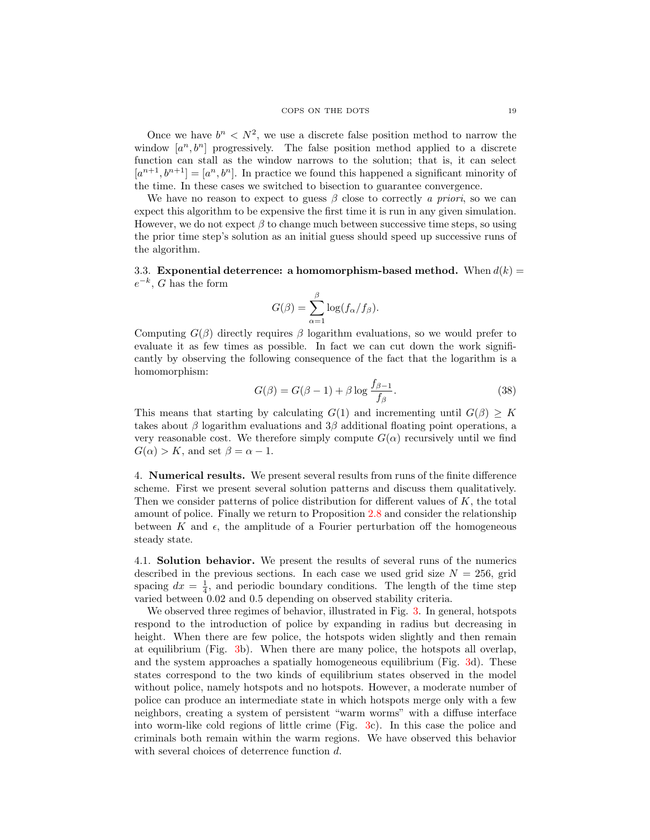Once we have  $b^n < N^2$ , we use a discrete false position method to narrow the window  $[a^n, b^n]$  progressively. The false position method applied to a discrete function can stall as the window narrows to the solution; that is, it can select  $[a^{n+1}, b^{n+1}] = [a^n, b^n]$ . In practice we found this happened a significant minority of the time. In these cases we switched to bisection to guarantee convergence.

We have no reason to expect to guess  $\beta$  close to correctly a priori, so we can expect this algorithm to be expensive the first time it is run in any given simulation. However, we do not expect  $\beta$  to change much between successive time steps, so using the prior time step's solution as an initial guess should speed up successive runs of the algorithm.

<span id="page-18-0"></span>3.3. Exponential deterrence: a homomorphism-based method. When  $d(k)$  =  $e^{-k}$ , G has the form

$$
G(\beta) = \sum_{\alpha=1}^{\beta} \log(f_{\alpha}/f_{\beta}).
$$

Computing  $G(\beta)$  directly requires  $\beta$  logarithm evaluations, so we would prefer to evaluate it as few times as possible. In fact we can cut down the work significantly by observing the following consequence of the fact that the logarithm is a homomorphism:

<span id="page-18-1"></span>
$$
G(\beta) = G(\beta - 1) + \beta \log \frac{f_{\beta - 1}}{f_{\beta}}.\tag{38}
$$

This means that starting by calculating  $G(1)$  and incrementing until  $G(\beta) \geq K$ takes about  $\beta$  logarithm evaluations and  $3\beta$  additional floating point operations, a very reasonable cost. We therefore simply compute  $G(\alpha)$  recursively until we find  $G(\alpha) > K$ , and set  $\beta = \alpha - 1$ .

4. Numerical results. We present several results from runs of the finite difference scheme. First we present several solution patterns and discuss them qualitatively. Then we consider patterns of police distribution for different values of  $K$ , the total amount of police. Finally we return to Proposition [2.8](#page-9-2) and consider the relationship between K and  $\epsilon$ , the amplitude of a Fourier perturbation off the homogeneous steady state.

4.1. Solution behavior. We present the results of several runs of the numerics described in the previous sections. In each case we used grid size  $N = 256$ , grid spacing  $dx = \frac{1}{4}$ , and periodic boundary conditions. The length of the time step varied between 0.02 and 0.5 depending on observed stability criteria.

We observed three regimes of behavior, illustrated in Fig. [3.](#page-19-0) In general, hotspots respond to the introduction of police by expanding in radius but decreasing in height. When there are few police, the hotspots widen slightly and then remain at equilibrium (Fig. [3b](#page-19-0)). When there are many police, the hotspots all overlap, and the system approaches a spatially homogeneous equilibrium (Fig. [3d](#page-19-0)). These states correspond to the two kinds of equilibrium states observed in the model without police, namely hotspots and no hotspots. However, a moderate number of police can produce an intermediate state in which hotspots merge only with a few neighbors, creating a system of persistent "warm worms" with a diffuse interface into worm-like cold regions of little crime (Fig. [3c](#page-19-0)). In this case the police and criminals both remain within the warm regions. We have observed this behavior with several choices of deterrence function d.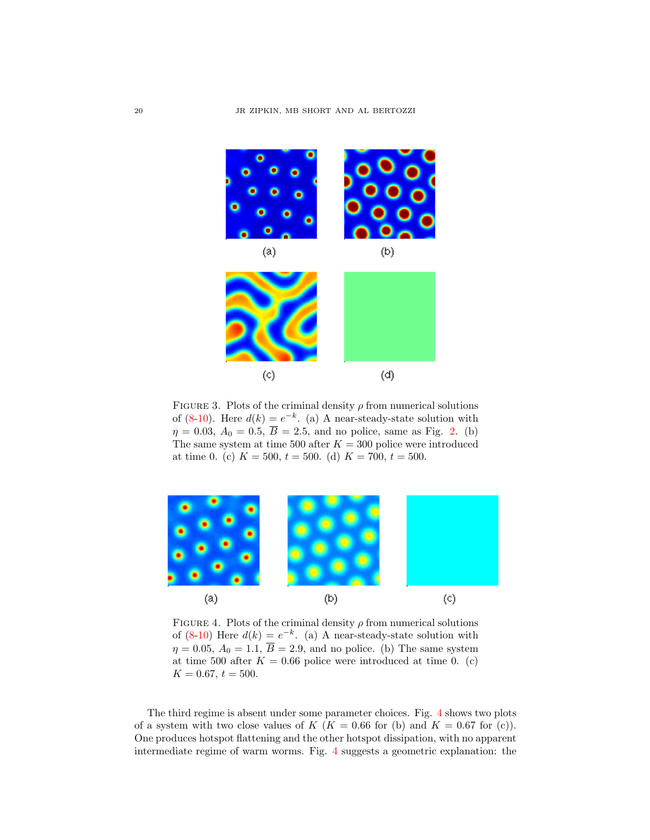

FIGURE 3. Plots of the criminal density  $\rho$  from numerical solutions of  $(8-10)$  $(8-10)$ . Here  $d(k) = e^{-k}$ . (a) A near-steady-state solution with  $\eta = 0.03$ ,  $A_0 = 0.5$ ,  $\overline{B} = 2.5$  $\overline{B} = 2.5$  $\overline{B} = 2.5$ , and no police, same as Fig. 2. (b) The same system at time 500 after  $K = 300$  police were introduced at time 0. (c)  $K = 500$ ,  $t = 500$ . (d)  $K = 700$ ,  $t = 500$ .

<span id="page-19-0"></span>

<span id="page-19-1"></span>FIGURE 4. Plots of the criminal density  $\rho$  from numerical solutions of  $(8-10)$  $(8-10)$  Here  $d(k) = e^{-k}$ . (a) A near-steady-state solution with  $\eta = 0.05$ ,  $A_0 = 1.1$ ,  $\overline{B} = 2.9$ , and no police. (b) The same system at time 500 after  $K = 0.66$  police were introduced at time 0. (c)  $K = 0.67$ ,  $t = 500$ .

The third regime is absent under some parameter choices. Fig. [4](#page-19-1) shows two plots of a system with two close values of  $K$  ( $K = 0.66$  for (b) and  $K = 0.67$  for (c)). One produces hotspot flattening and the other hotspot dissipation, with no apparent intermediate regime of warm worms. Fig. [4](#page-19-1) suggests a geometric explanation: the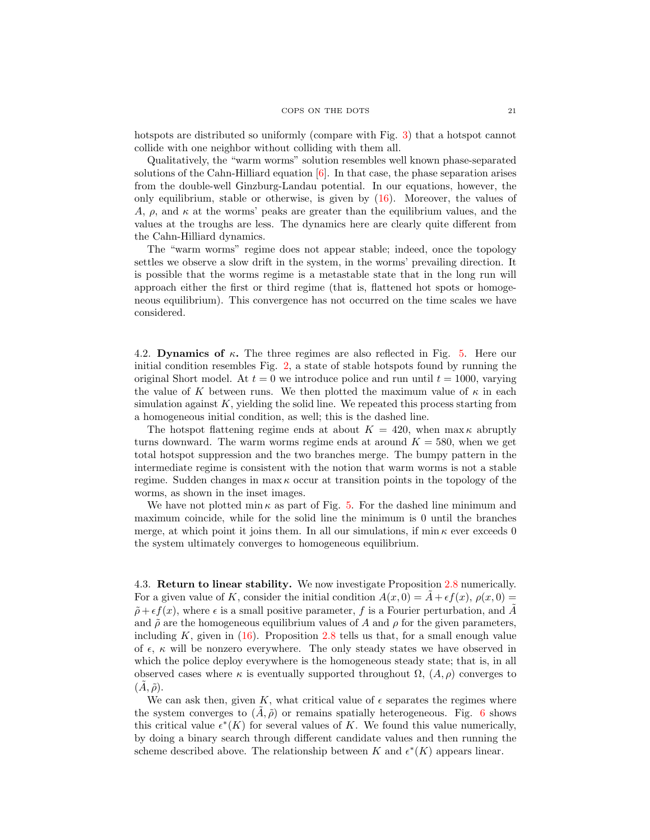#### COPS ON THE DOTS 21

hotspots are distributed so uniformly (compare with Fig. [3\)](#page-19-0) that a hotspot cannot collide with one neighbor without colliding with them all.

Qualitatively, the "warm worms" solution resembles well known phase-separated solutions of the Cahn-Hilliard equation  $[6]$ . In that case, the phase separation arises from the double-well Ginzburg-Landau potential. In our equations, however, the only equilibrium, stable or otherwise, is given by [\(16\)](#page-9-3). Moreover, the values of A,  $\rho$ , and  $\kappa$  at the worms' peaks are greater than the equilibrium values, and the values at the troughs are less. The dynamics here are clearly quite different from the Cahn-Hilliard dynamics.

The "warm worms" regime does not appear stable; indeed, once the topology settles we observe a slow drift in the system, in the worms' prevailing direction. It is possible that the worms regime is a metastable state that in the long run will approach either the first or third regime (that is, flattened hot spots or homogeneous equilibrium). This convergence has not occurred on the time scales we have considered.

4.2. Dynamics of  $\kappa$ . The three regimes are also reflected in Fig. [5.](#page-21-0) Here our initial condition resembles Fig. [2,](#page-2-1) a state of stable hotspots found by running the original Short model. At  $t = 0$  we introduce police and run until  $t = 1000$ , varying the value of K between runs. We then plotted the maximum value of  $\kappa$  in each simulation against  $K$ , yielding the solid line. We repeated this process starting from a homogeneous initial condition, as well; this is the dashed line.

The hotspot flattening regime ends at about  $K = 420$ , when  $\max \kappa$  abruptly turns downward. The warm worms regime ends at around  $K = 580$ , when we get total hotspot suppression and the two branches merge. The bumpy pattern in the intermediate regime is consistent with the notion that warm worms is not a stable regime. Sudden changes in  $\max \kappa$  occur at transition points in the topology of the worms, as shown in the inset images.

We have not plotted min  $\kappa$  as part of Fig. [5.](#page-21-0) For the dashed line minimum and maximum coincide, while for the solid line the minimum is 0 until the branches merge, at which point it joins them. In all our simulations, if min  $\kappa$  ever exceeds 0 the system ultimately converges to homogeneous equilibrium.

4.3. Return to linear stability. We now investigate Proposition [2.8](#page-9-2) numerically. For a given value of K, consider the initial condition  $A(x, 0) = A + \epsilon f(x)$ ,  $\rho(x, 0) =$  $\tilde{\rho} + \epsilon f(x)$ , where  $\epsilon$  is a small positive parameter, f is a Fourier perturbation, and A and  $\tilde{\rho}$  are the homogeneous equilibrium values of A and  $\rho$  for the given parameters, including  $K$ , given in  $(16)$ . Proposition [2.8](#page-9-2) tells us that, for a small enough value of  $\epsilon$ ,  $\kappa$  will be nonzero everywhere. The only steady states we have observed in which the police deploy everywhere is the homogeneous steady state; that is, in all observed cases where  $\kappa$  is eventually supported throughout  $\Omega$ ,  $(A, \rho)$  converges to  $(A, \tilde{\rho}).$ 

We can ask then, given K, what critical value of  $\epsilon$  separates the regimes where the system converges to  $(\tilde{A}, \tilde{\rho})$  or remains spatially heterogeneous. Fig. [6](#page-22-0) shows this critical value  $\epsilon^*(K)$  for several values of K. We found this value numerically, by doing a binary search through different candidate values and then running the scheme described above. The relationship between K and  $\epsilon^*(K)$  appears linear.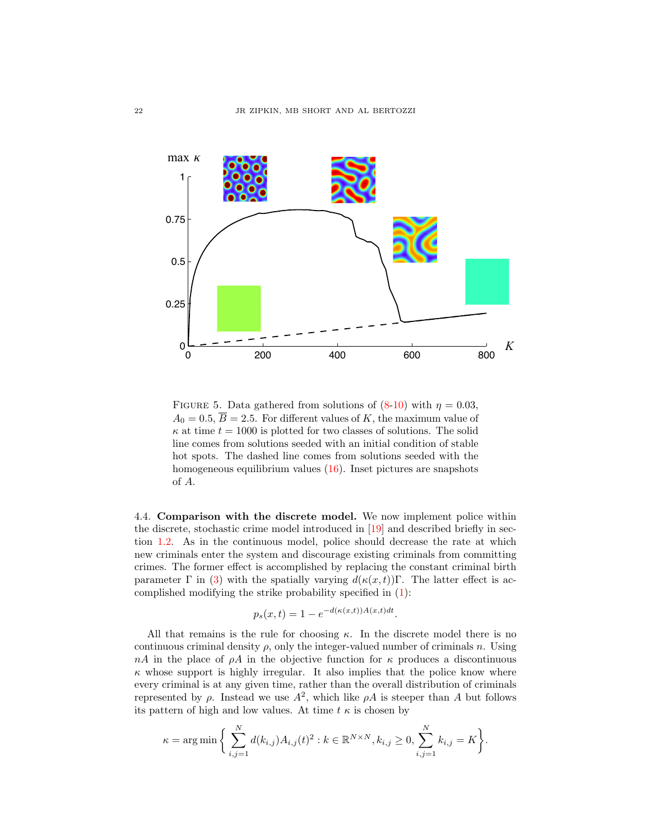

<span id="page-21-0"></span>FIGURE 5. Data gathered from solutions of  $(8-10)$  $(8-10)$  with  $\eta = 0.03$ ,  $A_0 = 0.5, \overline{B} = 2.5.$  For different values of K, the maximum value of  $\kappa$  at time  $t = 1000$  is plotted for two classes of solutions. The solid line comes from solutions seeded with an initial condition of stable hot spots. The dashed line comes from solutions seeded with the homogeneous equilibrium values [\(16\)](#page-9-3). Inset pictures are snapshots of A.

4.4. Comparison with the discrete model. We now implement police within the discrete, stochastic crime model introduced in [\[19\]](#page-27-4) and described briefly in section [1.2.](#page-1-4) As in the continuous model, police should decrease the rate at which new criminals enter the system and discourage existing criminals from committing crimes. The former effect is accomplished by replacing the constant criminal birth parameter  $\Gamma$  in [\(3\)](#page-1-1) with the spatially varying  $d(\kappa(x,t))\Gamma$ . The latter effect is accomplished modifying the strike probability specified in [\(1\)](#page-1-5):

$$
p_s(x,t) = 1 - e^{-d(\kappa(x,t))A(x,t)dt}.
$$

All that remains is the rule for choosing  $\kappa$ . In the discrete model there is no continuous criminal density  $\rho$ , only the integer-valued number of criminals n. Using  $nA$  in the place of  $\rho A$  in the objective function for  $\kappa$  produces a discontinuous  $\kappa$  whose support is highly irregular. It also implies that the police know where every criminal is at any given time, rather than the overall distribution of criminals represented by  $\rho$ . Instead we use  $A^2$ , which like  $\rho A$  is steeper than A but follows its pattern of high and low values. At time  $t \kappa$  is chosen by

$$
\kappa = \arg \min \bigg\{ \sum_{i,j=1}^N d(k_{i,j}) A_{i,j}(t)^2 : k \in \mathbb{R}^{N \times N}, k_{i,j} \ge 0, \sum_{i,j=1}^N k_{i,j} = K \bigg\}.
$$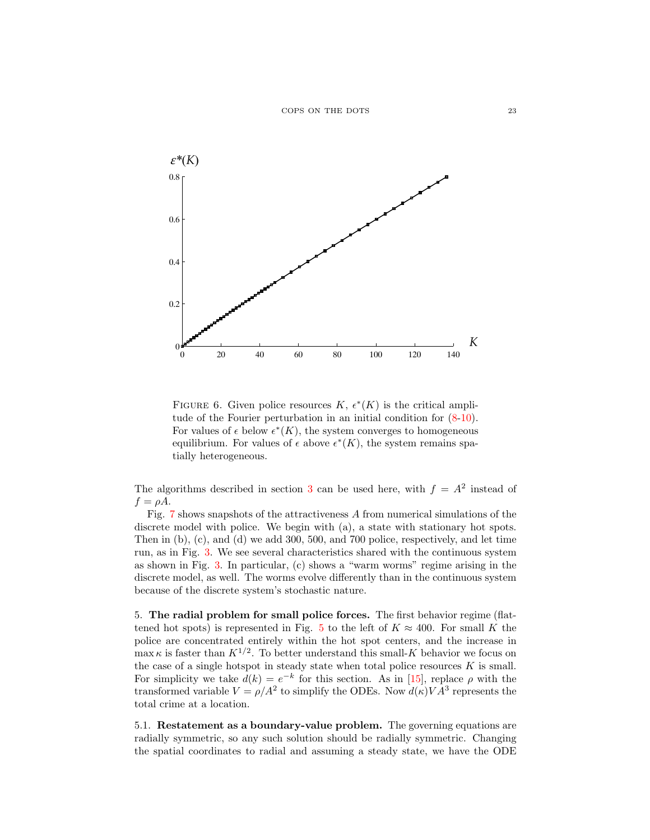

<span id="page-22-0"></span>FIGURE 6. Given police resources  $K, \epsilon^*(K)$  is the critical amplitude of the Fourier perturbation in an initial condition for [\(8-](#page-5-5)[10\)](#page-5-0). For values of  $\epsilon$  below  $\epsilon^*(K)$ , the system converges to homogeneous equilibrium. For values of  $\epsilon$  above  $\epsilon^*(K)$ , the system remains spatially heterogeneous.

The algorithms described in section [3](#page-16-3) can be used here, with  $f = A^2$  instead of  $f = \rho A$ .

Fig. [7](#page-23-0) shows snapshots of the attractiveness A from numerical simulations of the discrete model with police. We begin with (a), a state with stationary hot spots. Then in (b), (c), and (d) we add 300, 500, and 700 police, respectively, and let time run, as in Fig. [3.](#page-19-0) We see several characteristics shared with the continuous system as shown in Fig. [3.](#page-19-0) In particular, (c) shows a "warm worms" regime arising in the discrete model, as well. The worms evolve differently than in the continuous system because of the discrete system's stochastic nature.

5. The radial problem for small police forces. The first behavior regime (flat-tened hot spots) is represented in Fig. [5](#page-21-0) to the left of  $K \approx 400$ . For small K the police are concentrated entirely within the hot spot centers, and the increase in  $\max \kappa$  is faster than  $K^{1/2}$ . To better understand this small-K behavior we focus on the case of a single hotspot in steady state when total police resources  $K$  is small. For simplicity we take  $d(k) = e^{-k}$  for this section. As in [\[15\]](#page-27-17), replace  $\rho$  with the transformed variable  $V = \rho/A^2$  to simplify the ODEs. Now  $d(\kappa) V A^3$  represents the total crime at a location.

5.1. Restatement as a boundary-value problem. The governing equations are radially symmetric, so any such solution should be radially symmetric. Changing the spatial coordinates to radial and assuming a steady state, we have the ODE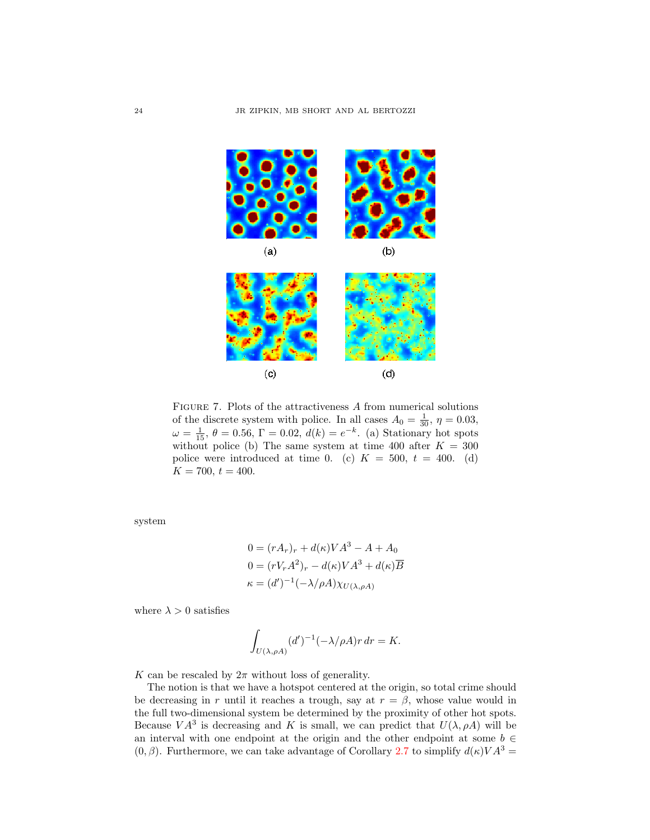

<span id="page-23-0"></span>FIGURE 7. Plots of the attractiveness  $A$  from numerical solutions of the discrete system with police. In all cases  $A_0 = \frac{1}{30}$ ,  $\eta = 0.03$ ,  $\omega = \frac{1}{15}$ ,  $\theta = 0.56$ ,  $\Gamma = 0.02$ ,  $d(k) = e^{-k}$ . (a) Stationary hot spots without police (b) The same system at time 400 after  $K = 300$ police were introduced at time 0. (c)  $K = 500, t = 400$ . (d)  $K = 700, t = 400.$ 

system

$$
0 = (rA_r)_r + d(\kappa)VA^3 - A + A_0
$$
  
\n
$$
0 = (rV_rA^2)_r - d(\kappa)VA^3 + d(\kappa)\overline{B}
$$
  
\n
$$
\kappa = (d')^{-1}(-\lambda/\rho A)\chi_{U(\lambda,\rho A)}
$$

where  $\lambda > 0$  satisfies

$$
\int_{U(\lambda,\rho A)} (d')^{-1} (-\lambda/\rho A) r \, dr = K.
$$

K can be rescaled by  $2\pi$  without loss of generality.

The notion is that we have a hotspot centered at the origin, so total crime should be decreasing in r until it reaches a trough, say at  $r = \beta$ , whose value would in the full two-dimensional system be determined by the proximity of other hot spots. Because  $VA^3$  is decreasing and K is small, we can predict that  $U(\lambda, \rho A)$  will be an interval with one endpoint at the origin and the other endpoint at some  $b \in$  $(0, \beta)$ . Furthermore, we can take advantage of Corollary [2.7](#page-9-0) to simplify  $d(\kappa) V A^3 =$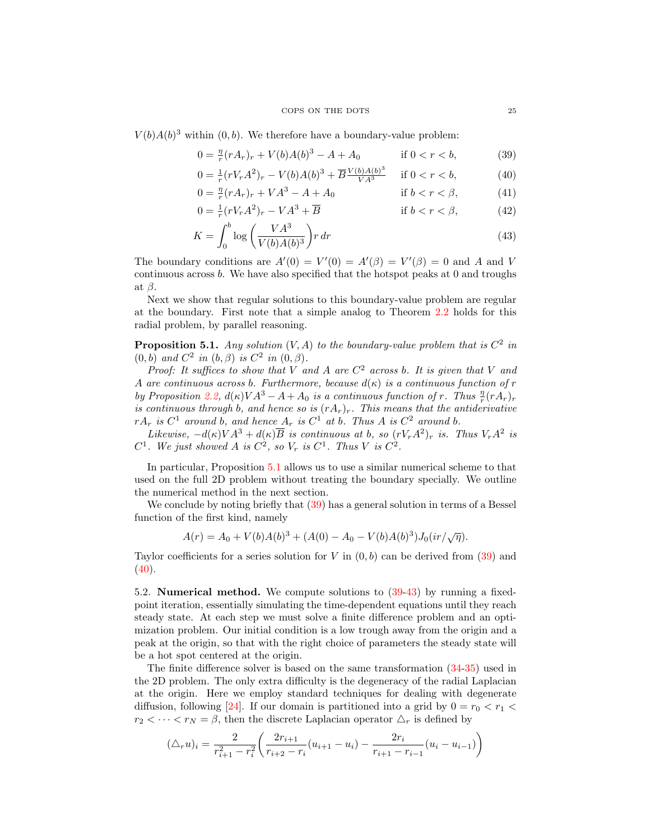$V(b)A(b)^3$  within  $(0, b)$ . We therefore have a boundary-value problem:

$$
0 = \frac{\eta}{r}(rA_r)_r + V(b)A(b)^3 - A + A_0 \qquad \text{if } 0 < r < b,\tag{39}
$$

<span id="page-24-2"></span><span id="page-24-1"></span>
$$
0 = \frac{1}{r}(rV_rA^2)_r - V(b)A(b)^3 + \overline{B} \frac{V(b)A(b)^3}{VA^3} \quad \text{if } 0 < r < b,\tag{40}
$$

$$
0 = \frac{\eta}{r}(rA_r)_r + VA^3 - A + A_0 \qquad \text{if } b < r < \beta,\tag{41}
$$

$$
0 = \frac{1}{r}(rV_rA^2)_r - VA^3 + \overline{B}
$$
 if  $b < r < \beta$ , (42)

<span id="page-24-3"></span>
$$
K = \int_0^b \log \left( \frac{VA^3}{V(b)A(b)^3} \right) r \, dr \tag{43}
$$

The boundary conditions are  $A'(0) = V'(0) = A'(\beta) = V'(\beta) = 0$  and A and V continuous across b. We have also specified that the hotspot peaks at 0 and troughs at  $\beta$ .

Next we show that regular solutions to this boundary-value problem are regular at the boundary. First note that a simple analog to Theorem [2.2](#page-5-1) holds for this radial problem, by parallel reasoning.

<span id="page-24-0"></span>**Proposition 5.1.** Any solution  $(V, A)$  to the boundary-value problem that is  $C^2$  in  $(0,b)$  and  $C^2$  in  $(b, \beta)$  is  $C^2$  in  $(0, \beta)$ .

Proof: It suffices to show that V and A are  $C^2$  across b. It is given that V and A are continuous across b. Furthermore, because  $d(\kappa)$  is a continuous function of r by Proposition [2.2,](#page-5-1)  $d(\kappa) V A^3 - A + A_0$  is a continuous function of r. Thus  $\frac{\eta}{r} (r A_r)_r$ by Troposition 2.2,  $a_n/r$   $\frac{r}{r}$   $\frac{r}{r}$  is a continuous function of  $r$ . This continuous through b, and hence so is  $(rA_r)_r$ . This means that the antiderivative  $rA_r$  is  $C^1$  around b, and hence  $A_r$  is  $C^1$  at b. Thus A is  $C^2$  around b.

Likewise,  $-d(\kappa)V^3 + d(\kappa)\overline{B}$  is continuous at b, so  $(rV_rA^2)_r$  is. Thus  $V_rA^2$  is  $C^1$ . We just showed A is  $C^2$ , so  $V_r$  is  $C^1$ . Thus V is  $C^2$ .

In particular, Proposition [5.1](#page-24-0) allows us to use a similar numerical scheme to that used on the full 2D problem without treating the boundary specially. We outline the numerical method in the next section.

We conclude by noting briefly that  $(39)$  has a general solution in terms of a Bessel function of the first kind, namely

$$
A(r) = A_0 + V(b)A(b)^3 + (A(0) - A_0 - V(b)A(b)^3)J_0(ir/\sqrt{\eta}).
$$

Taylor coefficients for a series solution for V in  $(0, b)$  can be derived from [\(39\)](#page-24-1) and  $(40).$  $(40).$ 

5.2. Numerical method. We compute solutions to [\(39-](#page-24-1)[43\)](#page-24-3) by running a fixedpoint iteration, essentially simulating the time-dependent equations until they reach steady state. At each step we must solve a finite difference problem and an optimization problem. Our initial condition is a low trough away from the origin and a peak at the origin, so that with the right choice of parameters the steady state will be a hot spot centered at the origin.

The finite difference solver is based on the same transformation [\(34-](#page-16-0)[35\)](#page-16-1) used in the 2D problem. The only extra difficulty is the degeneracy of the radial Laplacian at the origin. Here we employ standard techniques for dealing with degenerate diffusion, following [\[24\]](#page-27-18). If our domain is partitioned into a grid by  $0 = r_0 < r_1 <$  $r_2 < \cdots < r_N = \beta$ , then the discrete Laplacian operator  $\Delta_r$  is defined by

$$
(\triangle_r u)_i = \frac{2}{r_{i+1}^2 - r_i^2} \left( \frac{2r_{i+1}}{r_{i+2} - r_i} (u_{i+1} - u_i) - \frac{2r_i}{r_{i+1} - r_{i-1}} (u_i - u_{i-1}) \right)
$$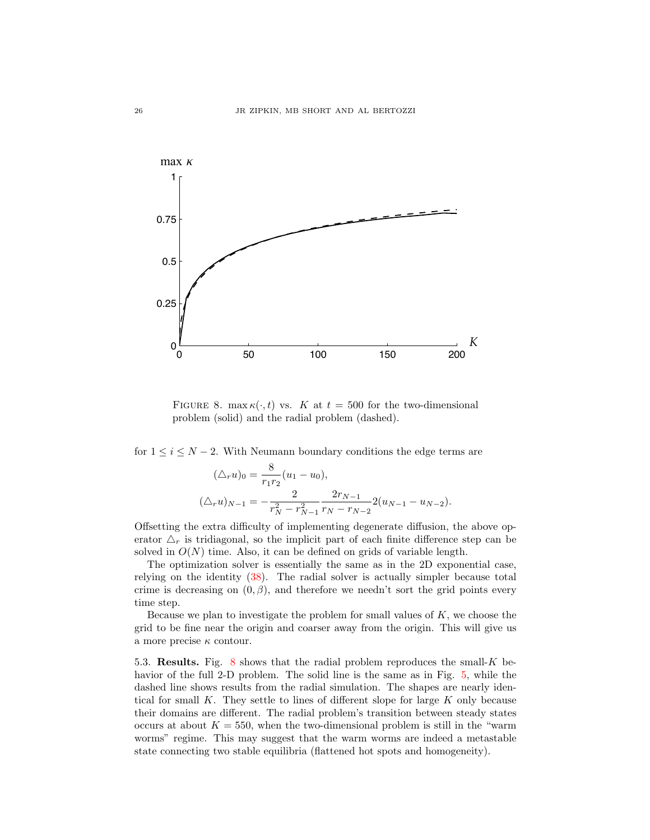

<span id="page-25-0"></span>FIGURE 8. max $\kappa(\cdot, t)$  vs. K at  $t = 500$  for the two-dimensional problem (solid) and the radial problem (dashed).

for  $1 \leq i \leq N-2$ . With Neumann boundary conditions the edge terms are

$$
(\triangle_r u)_0 = \frac{8}{r_1 r_2} (u_1 - u_0),
$$
  

$$
(\triangle_r u)_{N-1} = -\frac{2}{r_N^2 - r_{N-1}^2} \frac{2r_{N-1}}{r_N - r_{N-2}} 2(u_{N-1} - u_{N-2}).
$$

Offsetting the extra difficulty of implementing degenerate diffusion, the above operator  $\Delta_r$  is tridiagonal, so the implicit part of each finite difference step can be solved in  $O(N)$  time. Also, it can be defined on grids of variable length.

The optimization solver is essentially the same as in the 2D exponential case, relying on the identity [\(38\)](#page-18-1). The radial solver is actually simpler because total crime is decreasing on  $(0, \beta)$ , and therefore we needn't sort the grid points every time step.

Because we plan to investigate the problem for small values of  $K$ , we choose the grid to be fine near the origin and coarser away from the origin. This will give us a more precise  $\kappa$  contour.

5.3. Results. Fig. [8](#page-25-0) shows that the radial problem reproduces the small- $K$  behavior of the full 2-D problem. The solid line is the same as in Fig. [5,](#page-21-0) while the dashed line shows results from the radial simulation. The shapes are nearly identical for small  $K$ . They settle to lines of different slope for large  $K$  only because their domains are different. The radial problem's transition between steady states occurs at about  $K = 550$ , when the two-dimensional problem is still in the "warm worms" regime. This may suggest that the warm worms are indeed a metastable state connecting two stable equilibria (flattened hot spots and homogeneity).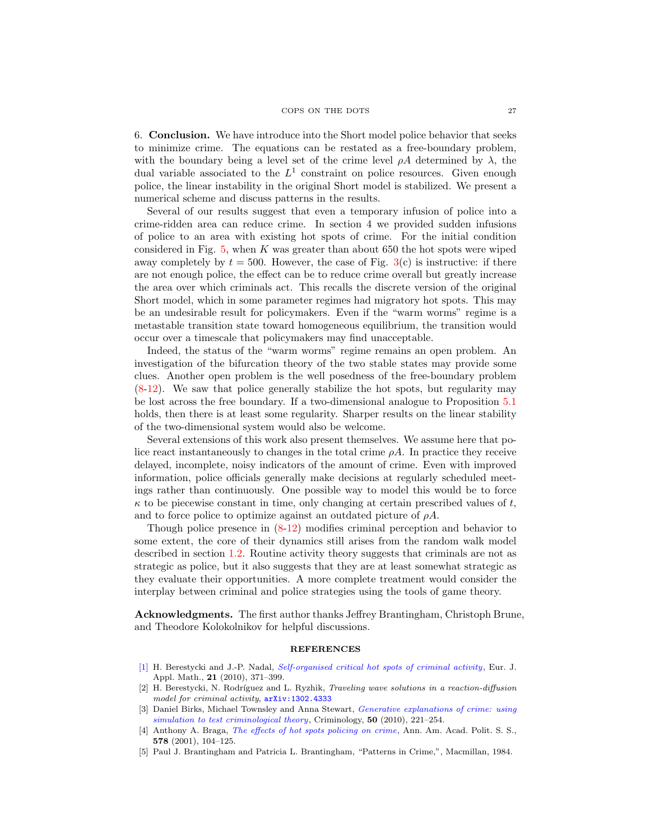6. Conclusion. We have introduce into the Short model police behavior that seeks to minimize crime. The equations can be restated as a free-boundary problem, with the boundary being a level set of the crime level  $\rho A$  determined by  $\lambda$ , the dual variable associated to the  $L^1$  constraint on police resources. Given enough police, the linear instability in the original Short model is stabilized. We present a numerical scheme and discuss patterns in the results.

Several of our results suggest that even a temporary infusion of police into a crime-ridden area can reduce crime. In section 4 we provided sudden infusions of police to an area with existing hot spots of crime. For the initial condition considered in Fig.  $5$ , when K was greater than about 650 the hot spots were wiped away completely by  $t = 500$ . However, the case of Fig.  $3(c)$  $3(c)$  is instructive: if there are not enough police, the effect can be to reduce crime overall but greatly increase the area over which criminals act. This recalls the discrete version of the original Short model, which in some parameter regimes had migratory hot spots. This may be an undesirable result for policymakers. Even if the "warm worms" regime is a metastable transition state toward homogeneous equilibrium, the transition would occur over a timescale that policymakers may find unacceptable.

Indeed, the status of the "warm worms" regime remains an open problem. An investigation of the bifurcation theory of the two stable states may provide some clues. Another open problem is the well posedness of the free-boundary problem [\(8-](#page-5-5)[12\)](#page-5-4). We saw that police generally stabilize the hot spots, but regularity may be lost across the free boundary. If a two-dimensional analogue to Proposition [5.1](#page-24-0) holds, then there is at least some regularity. Sharper results on the linear stability of the two-dimensional system would also be welcome.

Several extensions of this work also present themselves. We assume here that police react instantaneously to changes in the total crime  $\rho A$ . In practice they receive delayed, incomplete, noisy indicators of the amount of crime. Even with improved information, police officials generally make decisions at regularly scheduled meetings rather than continuously. One possible way to model this would be to force  $\kappa$  to be piecewise constant in time, only changing at certain prescribed values of t, and to force police to optimize against an outdated picture of  $\rho A$ .

Though police presence in [\(8-](#page-5-5)[12\)](#page-5-4) modifies criminal perception and behavior to some extent, the core of their dynamics still arises from the random walk model described in section [1.2.](#page-1-4) Routine activity theory suggests that criminals are not as strategic as police, but it also suggests that they are at least somewhat strategic as they evaluate their opportunities. A more complete treatment would consider the interplay between criminal and police strategies using the tools of game theory.

Acknowledgments. The first author thanks Jeffrey Brantingham, Christoph Brune, and Theodore Kolokolnikov for helpful discussions.

#### **REFERENCES**

- <span id="page-26-2"></span>[\[1\]](http://www.ams.org/mathscinet-getitem?mr=MR2671615&return=pdf) H. Berestycki and J.-P. Nadal, [Self-organised critical hot spots of criminal activity](http://dx.doi.org/10.1017/S0956792510000185), Eur. J. Appl. Math., 21 (2010), 371–399.
- <span id="page-26-3"></span>[2] H. Berestycki, N. Rodríguez and L. Ryzhik, Traveling wave solutions in a reaction-diffusion model for criminal activity,  $arXiv:1302.4333$
- <span id="page-26-4"></span>[3] Daniel Birks, Michael Townsley and Anna Stewart, *[Generative explanations of crime: using](http://dx.doi.org/10.1111/j.1745-9125.2011.00258.x)* [simulation to test criminological theory](http://dx.doi.org/10.1111/j.1745-9125.2011.00258.x), Criminology, 50 (2010), 221–254.
- <span id="page-26-1"></span>[4] Anthony A. Braga, [The effects of hot spots policing on crime](http://dx.doi.org/10.1177/000271620157800107), Ann. Am. Acad. Polit. S. S., 578 (2001), 104–125.
- <span id="page-26-0"></span>[5] Paul J. Brantingham and Patricia L. Brantingham, "Patterns in Crime,", Macmillan, 1984.